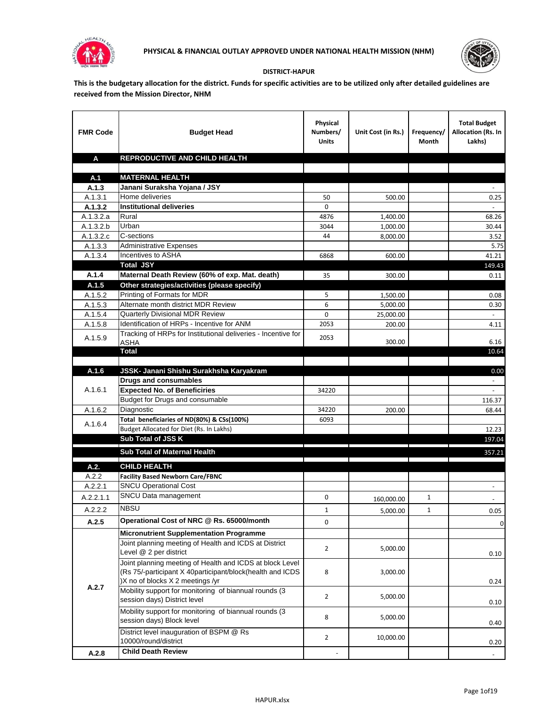



## **DISTRICT-HAPUR**

**This is the budgetary allocation for the district. Funds for specific activities are to be utilized only after detailed guidelines are received from the Mission Director, NHM**

| <b>FMR Code</b>      | <b>Budget Head</b>                                                                                                                                        | Physical<br>Numbers/<br><b>Units</b> | Unit Cost (in Rs.)   | Frequency/<br>Month | <b>Total Budget</b><br>Allocation (Rs. In<br>Lakhs) |
|----------------------|-----------------------------------------------------------------------------------------------------------------------------------------------------------|--------------------------------------|----------------------|---------------------|-----------------------------------------------------|
| A                    | REPRODUCTIVE AND CHILD HEALTH                                                                                                                             |                                      |                      |                     |                                                     |
|                      |                                                                                                                                                           |                                      |                      |                     |                                                     |
| A.1                  | <b>MATERNAL HEALTH</b>                                                                                                                                    |                                      |                      |                     |                                                     |
| A.1.3                | Janani Suraksha Yojana / JSY                                                                                                                              |                                      |                      |                     |                                                     |
| A.1.3.1              | Home deliveries                                                                                                                                           | 50<br>0                              | 500.00               |                     | 0.25                                                |
| A.1.3.2<br>A.1.3.2.a | <b>Institutional deliveries</b><br>Rural                                                                                                                  | 4876                                 |                      |                     | 68.26                                               |
| A.1.3.2.b            | Urban                                                                                                                                                     | 3044                                 | 1,400.00<br>1,000.00 |                     | 30.44                                               |
| A.1.3.2.c            | C-sections                                                                                                                                                | 44                                   | 8,000.00             |                     | 3.52                                                |
| A.1.3.3              | <b>Administrative Expenses</b>                                                                                                                            |                                      |                      |                     | 5.75                                                |
| A.1.3.4              | Incentives to ASHA                                                                                                                                        | 6868                                 | 600.00               |                     | 41.21                                               |
|                      | <b>Total JSY</b>                                                                                                                                          |                                      |                      |                     | 149.43                                              |
| A.1.4                | Maternal Death Review (60% of exp. Mat. death)                                                                                                            | 35                                   | 300.00               |                     | 0.11                                                |
| A.1.5                | Other strategies/activities (please specify)                                                                                                              |                                      |                      |                     |                                                     |
| A.1.5.2              | Printing of Formats for MDR                                                                                                                               | 5                                    | 1.500.00             |                     | 0.08                                                |
| A.1.5.3              | Alternate month district MDR Review                                                                                                                       | 6                                    | 5,000.00             |                     | 0.30                                                |
| A.1.5.4              | <b>Quarterly Divisional MDR Review</b>                                                                                                                    | 0                                    | 25,000.00            |                     |                                                     |
| A.1.5.8              | Identification of HRPs - Incentive for ANM                                                                                                                | 2053                                 | 200.00               |                     | 4.11                                                |
| A.1.5.9              | Tracking of HRPs for Institutional deliveries - Incentive for<br><b>ASHA</b>                                                                              | 2053                                 | 300.00               |                     | 6.16                                                |
|                      | <b>Total</b>                                                                                                                                              |                                      |                      |                     | 10.64                                               |
|                      |                                                                                                                                                           |                                      |                      |                     |                                                     |
| A.1.6                | JSSK- Janani Shishu Surakhsha Karyakram                                                                                                                   |                                      |                      |                     | 0.00                                                |
|                      | <b>Drugs and consumables</b>                                                                                                                              |                                      |                      |                     |                                                     |
| A.1.6.1              | <b>Expected No. of Beneficiries</b>                                                                                                                       | 34220                                |                      |                     | $\omega$                                            |
|                      | Budget for Drugs and consumable                                                                                                                           |                                      |                      |                     | 116.37                                              |
| A.1.6.2              | Diagnostic                                                                                                                                                | 34220                                | 200.00               |                     | 68.44                                               |
| A.1.6.4              | Total beneficiaries of ND(80%) & CSs(100%)                                                                                                                | 6093                                 |                      |                     |                                                     |
|                      | Budget Allocated for Diet (Rs. In Lakhs)                                                                                                                  |                                      |                      |                     | 12.23                                               |
|                      | Sub Total of JSS K                                                                                                                                        |                                      |                      |                     | 197.04                                              |
|                      | Sub Total of Maternal Health                                                                                                                              |                                      |                      |                     | 357.21                                              |
| A.2.                 | <b>CHILD HEALTH</b>                                                                                                                                       |                                      |                      |                     |                                                     |
| A.2.2                | <b>Facility Based Newborn Care/FBNC</b>                                                                                                                   |                                      |                      |                     |                                                     |
| A.2.2.1              | <b>SNCU Operational Cost</b>                                                                                                                              |                                      |                      |                     | $\blacksquare$                                      |
| A.2.2.1.1            | SNCU Data management                                                                                                                                      | 0                                    | 160,000.00           | 1                   |                                                     |
| A.2.2.2              | <b>NBSU</b>                                                                                                                                               | 1                                    | 5,000.00             | 1                   | 0.05                                                |
| A.2.5                | Operational Cost of NRC @ Rs. 65000/month                                                                                                                 | 0                                    |                      |                     | $\pmb{0}$                                           |
|                      | <b>Micronutrient Supplementation Programme</b>                                                                                                            |                                      |                      |                     |                                                     |
|                      | Joint planning meeting of Health and ICDS at District<br>Level @ 2 per district                                                                           | $\overline{2}$                       | 5,000.00             |                     |                                                     |
|                      | Joint planning meeting of Health and ICDS at block Level<br>(Rs 75/-participant X 40participant/block(health and ICDS<br>)X no of blocks X 2 meetings /yr | 8                                    | 3,000.00             |                     | 0.10<br>0.24                                        |
| A.2.7                | Mobility support for monitoring of biannual rounds (3<br>session days) District level                                                                     | $\overline{2}$                       | 5,000.00             |                     | 0.10                                                |
|                      | Mobility support for monitoring of biannual rounds (3<br>session days) Block level                                                                        | 8                                    | 5,000.00             |                     | 0.40                                                |
|                      | District level inauguration of BSPM @ Rs<br>10000/round/district                                                                                          | $\overline{2}$                       | 10,000.00            |                     | 0.20                                                |
| A.2.8                | <b>Child Death Review</b>                                                                                                                                 |                                      |                      |                     | $\overline{\phantom{a}}$                            |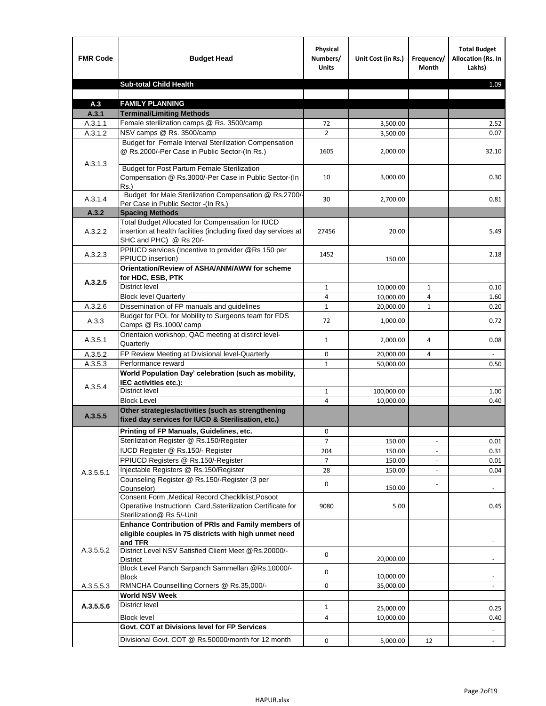| <b>FMR Code</b>    | <b>Budget Head</b>                                                                                                                             | Physical<br>Numbers/<br><b>Units</b> | Unit Cost (in Rs.) | Frequency/<br>Month | <b>Total Budget</b><br><b>Allocation (Rs. In</b><br>Lakhs) |
|--------------------|------------------------------------------------------------------------------------------------------------------------------------------------|--------------------------------------|--------------------|---------------------|------------------------------------------------------------|
|                    | <b>Sub-total Child Health</b>                                                                                                                  |                                      |                    |                     | 1.09                                                       |
|                    |                                                                                                                                                |                                      |                    |                     |                                                            |
| A.3                | <b>FAMILY PLANNING</b>                                                                                                                         |                                      |                    |                     |                                                            |
| A.3.1              | <b>Terminal/Limiting Methods</b>                                                                                                               |                                      |                    |                     |                                                            |
| A.3.1.1<br>A.3.1.2 | Female sterilization camps @ Rs. 3500/camp<br>NSV camps @ Rs. 3500/camp                                                                        | 72<br>$\overline{2}$                 | 3,500.00           |                     | 2.52<br>0.07                                               |
|                    | Budget for Female Interval Sterilization Compensation                                                                                          |                                      | 3,500.00           |                     |                                                            |
| A.3.1.3            | @ Rs.2000/-Per Case in Public Sector-(In Rs.)                                                                                                  | 1605                                 | 2,000.00           |                     | 32.10                                                      |
|                    | <b>Budget for Post Partum Female Sterilization</b><br>Compensation @ Rs.3000/-Per Case in Public Sector-(In<br>$Rs.$ )                         | 10                                   | 3,000.00           |                     | 0.30                                                       |
| A.3.1.4            | Budget for Male Sterilization Compensation @ Rs.2700/-<br>Per Case in Public Sector -(In Rs.)                                                  | 30                                   | 2,700.00           |                     | 0.81                                                       |
| A.3.2              | <b>Spacing Methods</b>                                                                                                                         |                                      |                    |                     |                                                            |
| A.3.2.2            | Total Budget Allocated for Compensation for IUCD<br>insertion at health facilities (including fixed day services at<br>SHC and PHC) @ Rs 20/-  | 27456                                | 20.00              |                     | 5.49                                                       |
| A.3.2.3            | PPIUCD services (Incentive to provider @Rs 150 per<br>PPIUCD insertion)                                                                        | 1452                                 | 150.00             |                     | 2.18                                                       |
| A.3.2.5            | Orientation/Review of ASHA/ANM/AWW for scheme<br>for HDC, ESB, PTK                                                                             |                                      |                    |                     |                                                            |
|                    | <b>District level</b>                                                                                                                          | $\mathbf{1}$                         | 10,000.00          | $\mathbf{1}$        | 0.10                                                       |
|                    | <b>Block level Quarterly</b>                                                                                                                   | 4                                    | 10,000.00          | 4                   | 1.60                                                       |
| A.3.2.6            | Dissemination of FP manuals and guidelines                                                                                                     | $\mathbf{1}$                         | 20,000.00          | 1                   | 0.20                                                       |
| A.3.3              | Budget for POL for Mobility to Surgeons team for FDS<br>Camps @ Rs.1000/camp                                                                   | 72                                   | 1,000.00           |                     | 0.72                                                       |
| A.3.5.1            | Orientaion workshop, QAC meeting at distirct level-<br>Quarterly                                                                               | 1                                    | 2,000.00           | 4                   | 0.08                                                       |
| A.3.5.2            | FP Review Meeting at Divisional level-Quarterly                                                                                                | 0                                    | 20,000.00          | 4                   |                                                            |
| A.3.5.3            | Performance reward                                                                                                                             | $\mathbf{1}$                         | 50,000.00          |                     | 0.50                                                       |
| A.3.5.4            | World Population Day' celebration (such as mobility,<br>IEC activities etc.):                                                                  |                                      |                    |                     |                                                            |
|                    | District level                                                                                                                                 | $\mathbf{1}$                         | 100,000.00         |                     | 1.00                                                       |
|                    | <b>Block Level</b>                                                                                                                             | 4                                    | 10,000.00          |                     | 0.40                                                       |
| A.3.5.5            | Other strategies/activities (such as strengthening<br>fixed day services for IUCD & Sterilisation, etc.)                                       |                                      |                    |                     |                                                            |
|                    | Printing of FP Manuals, Guidelines, etc.                                                                                                       | 0                                    |                    |                     |                                                            |
|                    | Sterilization Register @ Rs.150/Register                                                                                                       | 7                                    | 150.00             |                     | 0.01                                                       |
|                    | IUCD Register @ Rs.150/- Register                                                                                                              | 204                                  | 150.00             |                     | 0.31                                                       |
|                    | PPIUCD Registers @ Rs.150/-Register                                                                                                            | 7                                    | 150.00             |                     | 0.01                                                       |
| A.3.5.5.1          | Injectable Registers @ Rs.150/Register                                                                                                         | 28                                   | 150.00             |                     | 0.04                                                       |
|                    | Counseling Register @ Rs.150/-Register (3 per<br>Counselor)                                                                                    | 0                                    | 150.00             |                     |                                                            |
|                    | Consent Form , Medical Record CheckIklist, Posoot<br>Operatiive Instructionn Card, Ssterilization Certificate for<br>Sterilization@ Rs 5/-Unit | 9080                                 | 5.00               |                     | 0.45                                                       |
|                    | Enhance Contribution of PRIs and Family members of<br>eligible couples in 75 districts with high unmet need<br>and TFR                         |                                      |                    |                     |                                                            |
| A.3.5.5.2          | District Level NSV Satisfied Client Meet @Rs.20000/-<br><b>District</b>                                                                        | 0                                    | 20,000.00          |                     |                                                            |
|                    | Block Level Panch Sarpanch Sammellan @Rs.10000/-<br><b>Block</b>                                                                               | 0                                    | 10,000.00          |                     |                                                            |
| A.3.5.5.3          | RMNCHA Counsellling Corners @ Rs.35,000/-                                                                                                      | 0                                    | 35,000.00          |                     |                                                            |
|                    | <b>World NSV Week</b>                                                                                                                          |                                      |                    |                     |                                                            |
| A.3.5.5.6          | <b>District level</b>                                                                                                                          | $\mathbf{1}$                         | 25,000.00          |                     | 0.25                                                       |
|                    | <b>Block level</b>                                                                                                                             | 4                                    | 10,000.00          |                     | 0.40                                                       |
|                    | Govt. COT at Divisions level for FP Services                                                                                                   |                                      |                    |                     |                                                            |
|                    | Divisional Govt. COT @ Rs.50000/month for 12 month                                                                                             | 0                                    | 5,000.00           | 12                  |                                                            |
|                    |                                                                                                                                                |                                      |                    |                     |                                                            |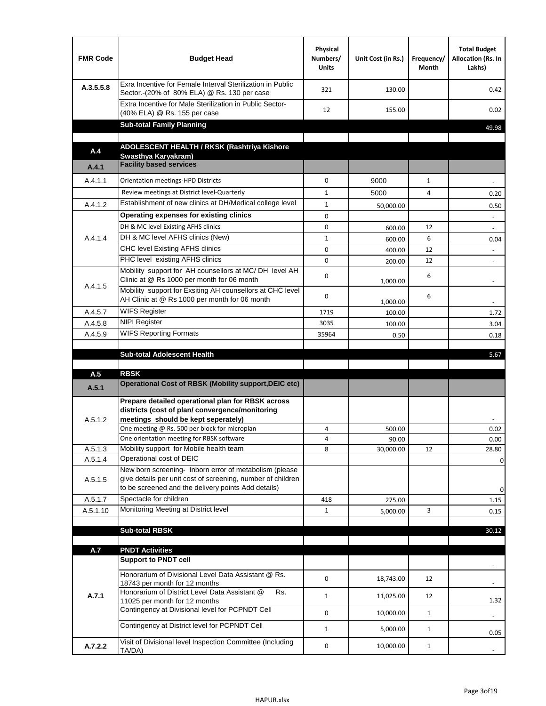| <b>FMR Code</b> | <b>Budget Head</b>                                                                                                                                                                                                                       | Physical<br>Numbers/<br><b>Units</b> | Unit Cost (in Rs.) | Frequency/<br>Month | <b>Total Budget</b><br>Allocation (Rs. In<br>Lakhs) |
|-----------------|------------------------------------------------------------------------------------------------------------------------------------------------------------------------------------------------------------------------------------------|--------------------------------------|--------------------|---------------------|-----------------------------------------------------|
| A.3.5.5.8       | Exra Incentive for Female Interval Sterilization in Public<br>Sector.-(20% of 80% ELA) @ Rs. 130 per case                                                                                                                                | 321                                  | 130.00             |                     | 0.42                                                |
|                 | Extra Incentive for Male Sterilization in Public Sector-<br>(40% ELA) @ Rs. 155 per case                                                                                                                                                 | 12                                   | 155.00             |                     | 0.02                                                |
|                 | <b>Sub-total Family Planning</b>                                                                                                                                                                                                         |                                      |                    |                     | 49.98                                               |
|                 | ADOLESCENT HEALTH / RKSK (Rashtriya Kishore                                                                                                                                                                                              |                                      |                    |                     |                                                     |
| A.4             | Swasthya Karyakram)                                                                                                                                                                                                                      |                                      |                    |                     |                                                     |
| A.4.1           | <b>Facility based services</b>                                                                                                                                                                                                           |                                      |                    |                     |                                                     |
| A.4.1.1         | Orientation meetings-HPD Districts                                                                                                                                                                                                       | $\Omega$                             | 9000               | $\mathbf{1}$        |                                                     |
|                 | Review meetings at District level-Quarterly                                                                                                                                                                                              | $\mathbf{1}$                         | 5000               | 4                   | 0.20                                                |
| A.4.1.2         | Establishment of new clinics at DH/Medical college level                                                                                                                                                                                 | $\mathbf{1}$                         | 50,000.00          |                     | 0.50                                                |
|                 | Operating expenses for existing clinics                                                                                                                                                                                                  | 0                                    |                    |                     |                                                     |
|                 | DH & MC level Existing AFHS clinics                                                                                                                                                                                                      | 0                                    | 600.00             | 12                  |                                                     |
| A.4.1.4         | DH & MC level AFHS clinics (New)                                                                                                                                                                                                         | $\mathbf{1}$                         | 600.00             | 6                   | 0.04                                                |
|                 | CHC level Existing AFHS clinics                                                                                                                                                                                                          | 0                                    | 400.00             | 12                  | $\overline{\phantom{a}}$                            |
|                 | PHC level existing AFHS clinics                                                                                                                                                                                                          | $\Omega$                             | 200.00             | 12                  | $\blacksquare$                                      |
| A.4.1.5         | Mobility support for AH counsellors at MC/DH level AH<br>Clinic at @ Rs 1000 per month for 06 month                                                                                                                                      | 0                                    | 1,000.00           | 6                   |                                                     |
|                 | Mobility support for Exsiting AH counsellors at CHC level<br>AH Clinic at @ Rs 1000 per month for 06 month                                                                                                                               | 0                                    | 1,000.00           | 6                   |                                                     |
| A.4.5.7         | <b>WIFS Register</b>                                                                                                                                                                                                                     | 1719                                 | 100.00             |                     | 1.72                                                |
| A.4.5.8         | <b>NIPI Register</b>                                                                                                                                                                                                                     | 3035                                 | 100.00             |                     | 3.04                                                |
| A.4.5.9         | <b>WIFS Reporting Formats</b>                                                                                                                                                                                                            | 35964                                | 0.50               |                     | 0.18                                                |
|                 | <b>Sub-total Adolescent Health</b>                                                                                                                                                                                                       |                                      |                    |                     | 5.67                                                |
| A.5             | <b>RBSK</b>                                                                                                                                                                                                                              |                                      |                    |                     |                                                     |
| A.5.1           | <b>Operational Cost of RBSK (Mobility support, DEIC etc)</b>                                                                                                                                                                             |                                      |                    |                     |                                                     |
| A.5.1.2         | Prepare detailed operational plan for RBSK across<br>districts (cost of plan/convergence/monitoring<br>meetings should be kept seperately)<br>One meeting @ Rs. 500 per block for microplan<br>One orientation meeting for RBSK software | 4<br>4                               | 500.00<br>90.00    |                     | 0.02<br>0.00                                        |
| A.5.1.3         | Mobility support for Mobile health team                                                                                                                                                                                                  | 8                                    | 30,000.00          | 12                  | 28.80                                               |
| A.5.1.4         | Operational cost of DEIC                                                                                                                                                                                                                 |                                      |                    |                     | 0                                                   |
| A.5.1.5         | New born screening- Inborn error of metabolism (please<br>give details per unit cost of screening, number of children<br>to be screened and the delivery points Add details)                                                             |                                      |                    |                     | 0                                                   |
| A.5.1.7         | Spectacle for children                                                                                                                                                                                                                   | 418                                  | 275.00             |                     | 1.15                                                |
| A.5.1.10        | Monitoring Meeting at District level                                                                                                                                                                                                     | $\mathbf{1}$                         | 5,000.00           | 3                   | 0.15                                                |
|                 |                                                                                                                                                                                                                                          |                                      |                    |                     |                                                     |
|                 | <b>Sub-total RBSK</b>                                                                                                                                                                                                                    |                                      |                    |                     | 30.12                                               |
| A.7             | <b>PNDT Activities</b>                                                                                                                                                                                                                   |                                      |                    |                     |                                                     |
|                 | <b>Support to PNDT cell</b>                                                                                                                                                                                                              |                                      |                    |                     |                                                     |
|                 | Honorarium of Divisional Level Data Assistant @ Rs.<br>18743 per month for 12 months<br>Honorarium of District Level Data Assistant @<br>Rs.                                                                                             | 0                                    | 18,743.00          | 12                  |                                                     |
| A.7.1           | 11025 per month for 12 months                                                                                                                                                                                                            | $\mathbf{1}$                         | 11,025.00          | 12                  | 1.32                                                |
|                 | Contingency at Divisional level for PCPNDT Cell                                                                                                                                                                                          | 0                                    | 10,000.00          | $\mathbf{1}$        | $\overline{\phantom{a}}$                            |
|                 | Contingency at District level for PCPNDT Cell                                                                                                                                                                                            | $\mathbf{1}$                         | 5,000.00           | $\mathbf{1}$        | 0.05                                                |
| A.7.2.2         | Visit of Divisional level Inspection Committee (Including<br>TA/DA)                                                                                                                                                                      | 0                                    | 10,000.00          | $\mathbf{1}$        |                                                     |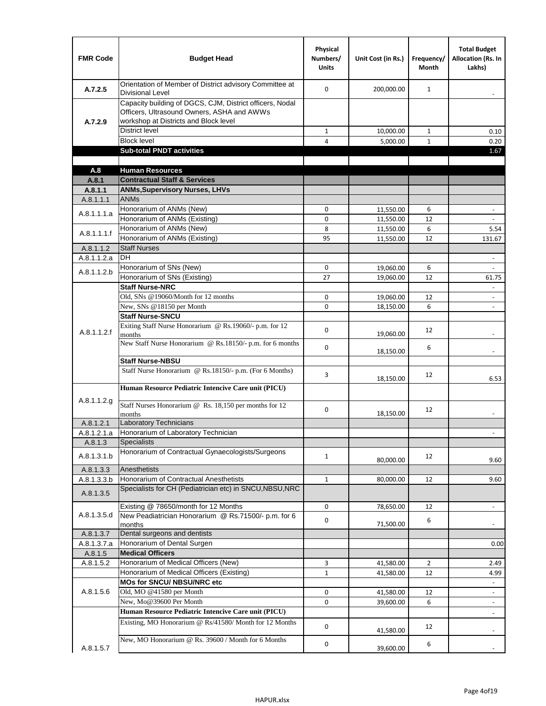| <b>FMR Code</b>      | <b>Budget Head</b>                                                                                                                              | Physical<br>Numbers/<br><b>Units</b> | Unit Cost (in Rs.)     | Frequency/<br><b>Month</b> | <b>Total Budget</b><br><b>Allocation (Rs. In</b><br>Lakhs) |
|----------------------|-------------------------------------------------------------------------------------------------------------------------------------------------|--------------------------------------|------------------------|----------------------------|------------------------------------------------------------|
| A.7.2.5              | Orientation of Member of District advisory Committee at<br><b>Divisional Level</b>                                                              | $\Omega$                             | 200,000.00             | $\mathbf{1}$               | $\blacksquare$                                             |
| A.7.2.9              | Capacity building of DGCS, CJM, District officers, Nodal<br>Officers, Ultrasound Owners, ASHA and AWWs<br>workshop at Districts and Block level |                                      |                        |                            |                                                            |
|                      | <b>District level</b>                                                                                                                           | $\mathbf{1}$                         | 10,000.00              | $\mathbf{1}$               | 0.10                                                       |
|                      | <b>Block level</b>                                                                                                                              | 4                                    | 5,000.00               | $\mathbf{1}$               | 0.20                                                       |
|                      | <b>Sub-total PNDT activities</b>                                                                                                                |                                      |                        |                            | 1.67                                                       |
|                      |                                                                                                                                                 |                                      |                        |                            |                                                            |
| A.8                  | <b>Human Resources</b>                                                                                                                          |                                      |                        |                            |                                                            |
| A.8.1                | <b>Contractual Staff &amp; Services</b>                                                                                                         |                                      |                        |                            |                                                            |
| A.8.1.1<br>A.8.1.1.1 | <b>ANMs, Supervisory Nurses, LHVs</b><br><b>ANMs</b>                                                                                            |                                      |                        |                            |                                                            |
|                      | Honorarium of ANMs (New)                                                                                                                        | 0                                    |                        | 6                          | $\overline{\phantom{a}}$                                   |
| A.8.1.1.1.a          | Honorarium of ANMs (Existing)                                                                                                                   | 0                                    | 11,550.00<br>11,550.00 | 12                         |                                                            |
|                      | Honorarium of ANMs (New)                                                                                                                        | 8                                    | 11,550.00              | 6                          | 5.54                                                       |
| A.8.1.1.1.f          | Honorarium of ANMs (Existing)                                                                                                                   | 95                                   | 11,550.00              | 12                         | 131.67                                                     |
| A.8.1.1.2            | <b>Staff Nurses</b>                                                                                                                             |                                      |                        |                            |                                                            |
| A.8.1.1.2.a          | <b>DH</b>                                                                                                                                       |                                      |                        |                            | $\blacksquare$                                             |
|                      | Honorarium of SNs (New)                                                                                                                         | 0                                    | 19,060.00              | 6                          |                                                            |
| A.8.1.1.2.b          | Honorarium of SNs (Existing)                                                                                                                    | 27                                   | 19.060.00              | 12                         | 61.75                                                      |
|                      | <b>Staff Nurse-NRC</b>                                                                                                                          |                                      |                        |                            | $\Box$                                                     |
|                      | Old, SNs @19060/Month for 12 months                                                                                                             | 0                                    | 19,060.00              | 12                         | $\overline{\phantom{a}}$                                   |
|                      | New, SNs @18150 per Month                                                                                                                       | 0                                    | 18,150.00              | 6                          | $\overline{\phantom{m}}$                                   |
|                      | <b>Staff Nurse-SNCU</b>                                                                                                                         |                                      |                        |                            |                                                            |
| A.8.1.1.2.f          | Exiting Staff Nurse Honorarium @ Rs.19060/- p.m. for 12<br>months                                                                               | $\Omega$                             | 19,060.00              | 12                         |                                                            |
|                      | New Staff Nurse Honorarium @ Rs.18150/- p.m. for 6 months                                                                                       | 0                                    | 18,150.00              | 6                          |                                                            |
|                      | <b>Staff Nurse-NBSU</b>                                                                                                                         |                                      |                        |                            |                                                            |
|                      | Staff Nurse Honorarium @ Rs.18150/- p.m. (For 6 Months)                                                                                         | 3                                    | 18,150.00              | 12                         | 6.53                                                       |
|                      | Human Resource Pediatric Intencive Care unit (PICU)                                                                                             |                                      |                        |                            |                                                            |
| A.8.1.1.2.g          | Staff Nurses Honorarium @ Rs. 18,150 per months for 12<br>months                                                                                | 0                                    | 18,150.00              | 12                         |                                                            |
| A.8.1.2.1            | <b>Laboratory Technicians</b>                                                                                                                   |                                      |                        |                            |                                                            |
| A.8.1.2.1.a          | Honorarium of Laboratory Technician                                                                                                             |                                      |                        |                            |                                                            |
| A.8.1.3              | <b>Specialists</b>                                                                                                                              |                                      |                        |                            |                                                            |
| A.8.1.3.1.b          | Honorarium of Contractual Gynaecologists/Surgeons                                                                                               | $\mathbf{1}$                         | 80,000.00              | 12                         | 9.60                                                       |
| A.8.1.3.3            | Anesthetists                                                                                                                                    |                                      |                        |                            |                                                            |
| A.8.1.3.3.b          | Honorarium of Contractual Anesthetists                                                                                                          | $\mathbf{1}$                         | 80,000.00              | 12                         | 9.60                                                       |
| A.8.1.3.5            | Specialists for CH (Pediatrician etc) in SNCU, NBSU, NRC                                                                                        |                                      |                        |                            |                                                            |
|                      | Existing @ 78650/month for 12 Months                                                                                                            | 0                                    | 78,650.00              | 12                         | $\blacksquare$                                             |
| A.8.1.3.5.d          | New Peadiatrician Honorarium @ Rs.71500/- p.m. for 6<br>months                                                                                  | 0                                    | 71,500.00              | 6                          |                                                            |
| A.8.1.3.7            | Dental surgeons and dentists                                                                                                                    |                                      |                        |                            |                                                            |
| A.8.1.3.7.a          | Honorarium of Dental Surgen                                                                                                                     |                                      |                        |                            | 0.00                                                       |
| A.8.1.5              | <b>Medical Officers</b>                                                                                                                         |                                      |                        |                            |                                                            |
| A.8.1.5.2            | Honorarium of Medical Officers (New)                                                                                                            | 3                                    | 41,580.00              | $\overline{2}$             | 2.49                                                       |
|                      | Honorarium of Medical Officers (Existing)                                                                                                       | $\mathbf{1}$                         | 41,580.00              | 12                         | 4.99                                                       |
|                      | MOs for SNCU/ NBSU/NRC etc                                                                                                                      |                                      |                        |                            |                                                            |
| A.8.1.5.6            | Old, MO @41580 per Month                                                                                                                        | 0                                    | 41,580.00              | 12                         | $\Box$                                                     |
|                      | New, Mo@39600 Per Month                                                                                                                         | 0                                    | 39,600.00              | 6                          | $\overline{\phantom{a}}$                                   |
|                      | Human Resource Pediatric Intencive Care unit (PICU)                                                                                             |                                      |                        |                            |                                                            |
|                      | Existing, MO Honorarium @ Rs/41580/ Month for 12 Months                                                                                         | $\mathbf 0$                          | 41,580.00              | 12                         |                                                            |
| A.8.1.5.7            | New, MO Honorarium @ Rs. 39600 / Month for 6 Months                                                                                             | 0                                    | 39,600.00              | 6                          |                                                            |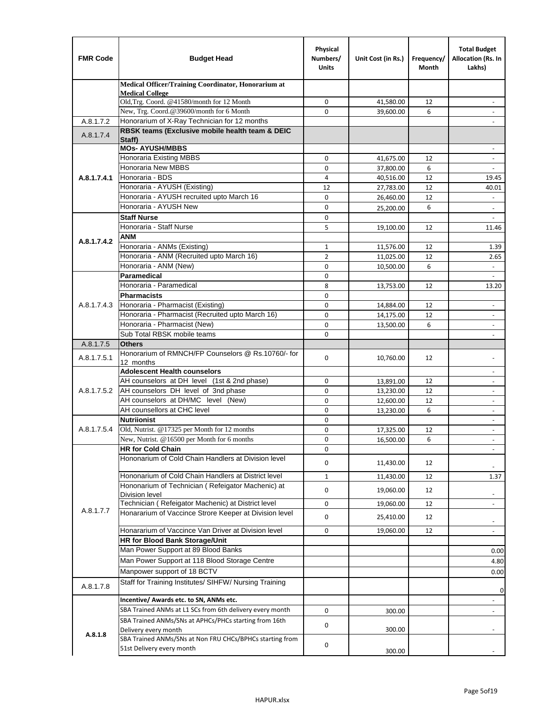| <b>FMR Code</b> | <b>Budget Head</b>                                                                    | Physical<br>Numbers/<br><b>Units</b> | Unit Cost (in Rs.)     | Frequency/<br><b>Month</b> | <b>Total Budget</b><br>Allocation (Rs. In<br>Lakhs)  |
|-----------------|---------------------------------------------------------------------------------------|--------------------------------------|------------------------|----------------------------|------------------------------------------------------|
|                 | Medical Officer/Training Coordinator, Honorarium at                                   |                                      |                        |                            |                                                      |
|                 | <b>Medical College</b><br>Old, Trg. Coord. @41580/month for 12 Month                  | 0                                    | 41,580.00              | 12                         |                                                      |
|                 | New, Trg. Coord.@39600/month for 6 Month                                              | $\Omega$                             | 39,600.00              | 6                          |                                                      |
| A.8.1.7.2       | Honorarium of X-Ray Technician for 12 months                                          |                                      |                        |                            |                                                      |
| A.8.1.7.4       | RBSK teams (Exclusive mobile health team & DEIC<br>Staff)                             |                                      |                        |                            |                                                      |
|                 | <b>MOs- AYUSH/MBBS</b>                                                                |                                      |                        |                            |                                                      |
|                 | <b>Honoraria Existing MBBS</b>                                                        | 0                                    | 41,675.00              | 12                         | $\omega$                                             |
|                 | Honoraria New MBBS<br>Honoraria - BDS                                                 | 0                                    | 37,800.00              | 6                          | $\overline{\phantom{a}}$                             |
| A.8.1.7.4.1     | Honoraria - AYUSH (Existing)                                                          | 4<br>12                              | 40,516.00<br>27,783.00 | 12<br>12                   | 19.45<br>40.01                                       |
|                 | Honoraria - AYUSH recruited upto March 16                                             | 0                                    | 26,460.00              | 12                         |                                                      |
|                 | Honoraria - AYUSH New                                                                 | 0                                    | 25,200.00              | 6                          | $\overline{\phantom{a}}$                             |
|                 | <b>Staff Nurse</b>                                                                    | 0                                    |                        |                            |                                                      |
|                 | Honoraria - Staff Nurse                                                               | 5                                    | 19,100.00              | 12                         | 11.46                                                |
|                 | <b>ANM</b>                                                                            |                                      |                        |                            |                                                      |
| A.8.1.7.4.2     | Honoraria - ANMs (Existing)                                                           | 1                                    | 11,576.00              | 12                         | 1.39                                                 |
|                 | Honoraria - ANM (Recruited upto March 16)                                             | $\overline{2}$                       | 11,025.00              | 12                         | 2.65                                                 |
|                 | Honoraria - ANM (New)                                                                 | 0                                    | 10,500.00              | 6                          |                                                      |
|                 | Paramedical                                                                           | 0                                    |                        |                            | $\omega$                                             |
|                 | Honoraria - Paramedical                                                               | 8                                    | 13,753.00              | 12                         | 13.20                                                |
|                 | <b>Pharmacists</b>                                                                    | 0                                    |                        |                            |                                                      |
| A.8.1.7.4.3     | Honoraria - Pharmacist (Existing)                                                     | 0                                    | 14,884.00              | 12                         |                                                      |
|                 | Honoraria - Pharmacist (Recruited upto March 16)<br>Honoraria - Pharmacist (New)      | 0<br>0                               | 14,175.00              | 12<br>6                    | $\overline{\phantom{a}}$<br>$\overline{\phantom{a}}$ |
|                 | Sub Total RBSK mobile teams                                                           | 0                                    | 13,500.00              |                            | $\blacksquare$                                       |
| A.8.1.7.5       | <b>Others</b>                                                                         |                                      |                        |                            |                                                      |
| A.8.1.7.5.1     | Honorarium of RMNCH/FP Counselors @ Rs.10760/- for<br>12 months                       | 0                                    | 10,760.00              | 12                         |                                                      |
|                 | <b>Adolescent Health counselors</b>                                                   |                                      |                        |                            | $\overline{\phantom{a}}$                             |
|                 | AH counselors at DH level (1st & 2nd phase)                                           | 0                                    | 13,891.00              | 12                         |                                                      |
| A.8.1.7.5.2     | AH counselors DH level of 3nd phase                                                   | 0                                    | 13,230.00              | 12                         | $\sim$                                               |
|                 | AH counselors at DH/MC level (New)                                                    | 0                                    | 12,600.00              | 12                         | $\overline{\phantom{a}}$                             |
|                 | AH counsellors at CHC level                                                           | 0                                    | 13,230.00              | 6                          | $\overline{\phantom{a}}$                             |
|                 | <b>Nutriionist</b>                                                                    | 0                                    |                        |                            | $\overline{\phantom{a}}$                             |
| A.8.1.7.5.4     | Old, Nutrist. @17325 per Month for 12 months                                          | $\Omega$                             | 17,325.00              | 12                         | $\overline{\phantom{a}}$                             |
|                 | New, Nutrist. $@16500$ per Month for 6 months<br><b>HR for Cold Chain</b>             | 0<br>0                               | 16,500.00              | 6                          | $\blacksquare$                                       |
|                 | Hononarium of Cold Chain Handlers at Division level                                   | 0                                    | 11,430.00              | 12                         |                                                      |
|                 | Hononarium of Cold Chain Handlers at District level                                   | $\mathbf 1$                          | 11,430.00              | 12                         | 1.37                                                 |
|                 | Hononarium of Technician (Refeigator Machenic) at                                     | 0                                    | 19,060.00              | 12                         |                                                      |
|                 | Division level                                                                        |                                      |                        |                            | $\overline{\phantom{a}}$                             |
| A.8.1.7.7       | Technician (Refeigator Machenic) at District level                                    | 0                                    | 19,060.00              | 12                         | $\blacksquare$                                       |
|                 | Honararium of Vaccince Strore Keeper at Division level                                | 0                                    | 25,410.00              | 12                         | $\overline{\phantom{a}}$                             |
|                 | Honararium of Vaccince Van Driver at Division level<br>HR for Blood Bank Storage/Unit | 0                                    | 19,060.00              | 12                         |                                                      |
|                 | Man Power Support at 89 Blood Banks                                                   |                                      |                        |                            | 0.00                                                 |
|                 | Man Power Support at 118 Blood Storage Centre                                         |                                      |                        |                            | 4.80                                                 |
|                 | Manpower support of 18 BCTV                                                           |                                      |                        |                            | 0.00                                                 |
| A.8.1.7.8       | Staff for Training Institutes/ SIHFW/ Nursing Training                                |                                      |                        |                            | 0                                                    |
|                 | Incentive/ Awards etc. to SN, ANMs etc.                                               |                                      |                        |                            | ÷,                                                   |
|                 | SBA Trained ANMs at L1 SCs from 6th delivery every month                              | 0                                    | 300.00                 |                            | $\blacksquare$                                       |
|                 | SBA Trained ANMs/SNs at APHCs/PHCs starting from 16th<br>Delivery every month         | 0                                    | 300.00                 |                            |                                                      |
| A.8.1.8         | SBA Trained ANMs/SNs at Non FRU CHCs/BPHCs starting from<br>51st Delivery every month | 0                                    | 300.00                 |                            |                                                      |
|                 |                                                                                       |                                      |                        |                            |                                                      |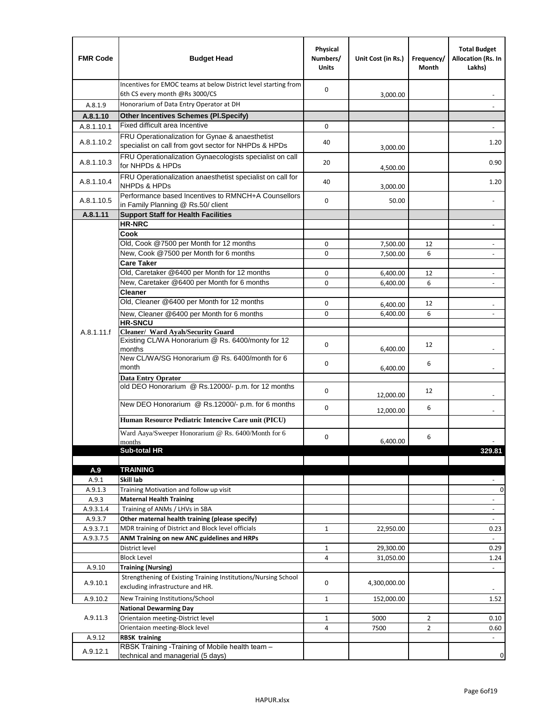| <b>FMR Code</b>  | <b>Budget Head</b>                                                                                      | Physical<br>Numbers/<br><b>Units</b> | Unit Cost (in Rs.) | Frequency/<br>Month | <b>Total Budget</b><br>Allocation (Rs. In<br>Lakhs) |
|------------------|---------------------------------------------------------------------------------------------------------|--------------------------------------|--------------------|---------------------|-----------------------------------------------------|
|                  | Incentives for EMOC teams at below District level starting from<br>6th CS every month @Rs 3000/CS       | 0                                    | 3,000.00           |                     |                                                     |
| A.8.1.9          | Honorarium of Data Entry Operator at DH                                                                 |                                      |                    |                     |                                                     |
| A.8.1.10         | <b>Other Incentives Schemes (Pl.Specify)</b>                                                            |                                      |                    |                     |                                                     |
| A.8.1.10.1       | Fixed difficult area Incentive                                                                          | 0                                    |                    |                     |                                                     |
| A.8.1.10.2       | FRU Operationalization for Gynae & anaesthetist<br>specialist on call from govt sector for NHPDs & HPDs | 40                                   | 3,000.00           |                     | 1.20                                                |
| A.8.1.10.3       | FRU Operationalization Gynaecologists specialist on call<br>for NHPDs & HPDs                            | 20                                   | 4,500.00           |                     | 0.90                                                |
| A.8.1.10.4       | FRU Operationalization anaesthetist specialist on call for<br><b>NHPDs &amp; HPDs</b>                   | 40                                   | 3,000.00           |                     | 1.20                                                |
| A.8.1.10.5       | Performance based Incentives to RMNCH+A Counsellors<br>in Family Planning @ Rs.50/ client               | 0                                    | 50.00              |                     | $\overline{a}$                                      |
| A.8.1.11         | <b>Support Staff for Health Facilities</b>                                                              |                                      |                    |                     |                                                     |
|                  | <b>HR-NRC</b>                                                                                           |                                      |                    |                     | $\blacksquare$                                      |
|                  | Cook                                                                                                    |                                      |                    |                     |                                                     |
|                  | Old, Cook @7500 per Month for 12 months                                                                 | 0                                    | 7,500.00           | 12                  | ÷,                                                  |
|                  | New, Cook @7500 per Month for 6 months                                                                  | 0                                    | 7,500.00           | 6                   | $\overline{\phantom{a}}$                            |
|                  | <b>Care Taker</b>                                                                                       |                                      |                    |                     |                                                     |
|                  | Old, Caretaker @6400 per Month for 12 months                                                            | 0                                    | 6,400.00           | 12                  | $\overline{a}$                                      |
|                  | New, Caretaker @6400 per Month for 6 months                                                             | 0                                    | 6,400.00           | 6                   | $\overline{\phantom{m}}$                            |
|                  | <b>Cleaner</b>                                                                                          |                                      |                    |                     |                                                     |
|                  | Old, Cleaner @6400 per Month for 12 months                                                              | 0                                    | 6,400.00           | 12                  |                                                     |
|                  | New, Cleaner @6400 per Month for 6 months                                                               | 0                                    | 6,400.00           | 6                   |                                                     |
| A.8.1.11.f       | <b>HR-SNCU</b><br>Cleaner/ Ward Ayah/Security Guard                                                     |                                      |                    |                     |                                                     |
|                  | Existing CL/WA Honorarium @ Rs. 6400/monty for 12<br>months                                             | 0                                    | 6,400.00           | 12                  |                                                     |
|                  | New CL/WA/SG Honorarium @ Rs. 6400/month for 6<br>month                                                 | 0                                    | 6,400.00           | 6                   |                                                     |
|                  | <b>Data Entry Oprator</b>                                                                               |                                      |                    |                     |                                                     |
|                  | old DEO Honorarium @ Rs.12000/- p.m. for 12 months                                                      | 0                                    | 12,000.00          | 12                  |                                                     |
|                  | New DEO Honorarium @ Rs.12000/- p.m. for 6 months                                                       | 0                                    | 12,000.00          | 6                   |                                                     |
|                  | Human Resource Pediatric Intencive Care unit (PICU)                                                     |                                      |                    |                     |                                                     |
|                  | Ward Aaya/Sweeper Honorarium @ Rs. 6400/Month for 6<br>months                                           | 0                                    | 6,400.00           | 6                   |                                                     |
|                  | Sub-total HR                                                                                            |                                      |                    |                     | 329.81                                              |
|                  |                                                                                                         |                                      |                    |                     |                                                     |
| A.9              | <b>TRAINING</b>                                                                                         |                                      |                    |                     |                                                     |
| A.9.1            | Skill lab                                                                                               |                                      |                    |                     |                                                     |
| A.9.1.3<br>A.9.3 | Training Motivation and follow up visit<br><b>Maternal Health Training</b>                              |                                      |                    |                     | 0<br>$\blacksquare$                                 |
| A.9.3.1.4        | Training of ANMs / LHVs in SBA                                                                          |                                      |                    |                     | $\overline{\phantom{a}}$                            |
| A.9.3.7          | Other maternal health training (please specify)                                                         |                                      |                    |                     | $\overline{\phantom{a}}$                            |
| A.9.3.7.1        | MDR training of District and Block level officials                                                      | 1                                    | 22,950.00          |                     | 0.23                                                |
| A.9.3.7.5        | ANM Training on new ANC guidelines and HRPs                                                             |                                      |                    |                     |                                                     |
|                  | District level                                                                                          | $\mathbf 1$                          | 29,300.00          |                     | 0.29                                                |
|                  | <b>Block Level</b>                                                                                      | 4                                    | 31,050.00          |                     | 1.24                                                |
| A.9.10           | <b>Training (Nursing)</b>                                                                               |                                      |                    |                     | $\blacksquare$                                      |
| A.9.10.1         | Strengthening of Existing Training Institutions/Nursing School<br>excluding infrastructure and HR.      | 0                                    | 4,300,000.00       |                     |                                                     |
| A.9.10.2         | New Training Institutions/School                                                                        | $\mathbf{1}$                         | 152,000.00         |                     | 1.52                                                |
|                  | <b>National Dewarming Day</b>                                                                           |                                      |                    |                     |                                                     |
| A.9.11.3         | Orientaion meeting-District level                                                                       | 1                                    | 5000               | $\overline{2}$      | 0.10                                                |
|                  | Orientaion meeting-Block level                                                                          | 4                                    | 7500               | $\overline{2}$      | 0.60                                                |
| A.9.12           | <b>RBSK training</b>                                                                                    |                                      |                    |                     |                                                     |
| A.9.12.1         | RBSK Training -Training of Mobile health team -<br>technical and managerial (5 days)                    |                                      |                    |                     | 0                                                   |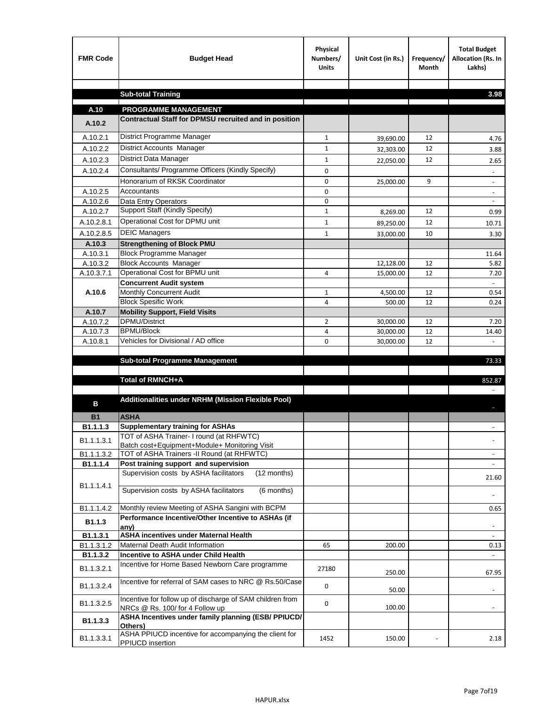| <b>FMR Code</b>        | <b>Budget Head</b>                                                                           | Physical<br>Numbers/<br><b>Units</b> | Unit Cost (in Rs.) | Frequency/<br><b>Month</b> | <b>Total Budget</b><br>Allocation (Rs. In<br>Lakhs) |
|------------------------|----------------------------------------------------------------------------------------------|--------------------------------------|--------------------|----------------------------|-----------------------------------------------------|
|                        | <b>Sub-total Training</b>                                                                    |                                      |                    |                            | 3.98                                                |
|                        |                                                                                              |                                      |                    |                            |                                                     |
| A.10                   | <b>PROGRAMME MANAGEMENT</b>                                                                  |                                      |                    |                            |                                                     |
| A.10.2                 | Contractual Staff for DPMSU recruited and in position                                        |                                      |                    |                            |                                                     |
| A.10.2.1               | District Programme Manager                                                                   | $\mathbf{1}$                         | 39,690.00          | 12                         | 4.76                                                |
| A.10.2.2               | District Accounts Manager                                                                    | 1                                    | 32,303.00          | 12                         | 3.88                                                |
| A.10.2.3               | District Data Manager                                                                        | $\mathbf{1}$                         | 22,050.00          | 12                         | 2.65                                                |
| A.10.2.4               | Consultants/ Programme Officers (Kindly Specify)                                             | $\mathbf 0$                          |                    |                            |                                                     |
|                        | Honorarium of RKSK Coordinator                                                               | 0                                    | 25,000.00          | 9                          | $\overline{\phantom{a}}$                            |
| A.10.2.5               | Accountants                                                                                  | 0                                    |                    |                            |                                                     |
| A.10.2.6               | Data Entry Operators                                                                         | 0                                    |                    |                            | $\overline{\phantom{a}}$                            |
| A.10.2.7               | Support Staff (Kindly Specify)                                                               | $\mathbf 1$                          | 8,269.00           | 12                         | 0.99                                                |
| A.10.2.8.1             | Operational Cost for DPMU unit                                                               | $\mathbf{1}$                         | 89,250.00          | 12                         | 10.71                                               |
| A.10.2.8.5             | <b>DEIC Managers</b>                                                                         | $\mathbf{1}$                         | 33,000.00          | 10                         | 3.30                                                |
| A.10.3                 | <b>Strengthening of Block PMU</b>                                                            |                                      |                    |                            |                                                     |
| A.10.3.1               | <b>Block Programme Manager</b>                                                               |                                      |                    |                            | 11.64                                               |
| A.10.3.2               | <b>Block Accounts Manager</b>                                                                |                                      | 12,128.00          | 12                         | 5.82                                                |
| A.10.3.7.1             | Operational Cost for BPMU unit                                                               | 4                                    | 15,000.00          | 12                         | 7.20                                                |
| A.10.6                 | <b>Concurrent Audit system</b><br>Monthly Concurrent Audit                                   | $\mathbf{1}$                         | 4,500.00           | 12                         | 0.54                                                |
|                        | <b>Block Spesific Work</b>                                                                   | 4                                    | 500.00             | 12                         | 0.24                                                |
| A.10.7                 | <b>Mobility Support, Field Visits</b>                                                        |                                      |                    |                            |                                                     |
| A.10.7.2               | <b>DPMU/District</b>                                                                         | 2                                    | 30,000.00          | 12                         | 7.20                                                |
| A.10.7.3               | <b>BPMU/Block</b>                                                                            | 4                                    | 30,000.00          | 12                         | 14.40                                               |
| A.10.8.1               | Vehicles for Divisional / AD office                                                          | 0                                    | 30,000.00          | 12                         |                                                     |
|                        |                                                                                              |                                      |                    |                            |                                                     |
|                        | <b>Sub-total Programme Management</b>                                                        |                                      |                    |                            | 73.33                                               |
|                        | Total of RMNCH+A                                                                             |                                      |                    |                            | 852.87                                              |
|                        |                                                                                              |                                      |                    |                            |                                                     |
| в                      | Additionalities under NRHM (Mission Flexible Pool)                                           |                                      |                    |                            |                                                     |
| <b>B1</b>              | <b>ASHA</b>                                                                                  |                                      |                    |                            |                                                     |
| B1.1.1.3               | <b>Supplementary training for ASHAs</b>                                                      |                                      |                    |                            |                                                     |
| B1.1.1.3.1             | TOT of ASHA Trainer- I round (at RHFWTC)                                                     |                                      |                    |                            |                                                     |
|                        | Batch cost+Equipment+Module+ Monitoring Visit<br>TOT of ASHA Trainers -II Round (at RHFWTC)  |                                      |                    |                            |                                                     |
| B1.1.1.3.2<br>B1.1.1.4 | Post training support and supervision                                                        |                                      |                    |                            | $\omega$                                            |
|                        | Supervision costs by ASHA facilitators<br>(12 months)                                        |                                      |                    |                            |                                                     |
| B1.1.1.4.1             |                                                                                              |                                      |                    |                            | 21.60                                               |
|                        | Supervision costs by ASHA facilitators<br>(6 months)                                         |                                      |                    |                            |                                                     |
| B1.1.1.4.2             | Monthly review Meeting of ASHA Sangini with BCPM                                             |                                      |                    |                            |                                                     |
|                        | Performance Incentive/Other Incentive to ASHAs (if                                           |                                      |                    |                            | 0.65                                                |
| B <sub>1.1.3</sub>     | any)                                                                                         |                                      |                    |                            |                                                     |
| B1.1.3.1               | <b>ASHA incentives under Maternal Health</b>                                                 |                                      |                    |                            |                                                     |
| B1.1.3.1.2             | Maternal Death Audit Information                                                             | 65                                   | 200.00             |                            | 0.13                                                |
| B1.1.3.2               | Incentive to ASHA under Child Health                                                         |                                      |                    |                            | ÷.                                                  |
| B1.1.3.2.1             | Incentive for Home Based Newborn Care programme                                              | 27180                                | 250.00             |                            | 67.95                                               |
| B1.1.3.2.4             | Incentive for referral of SAM cases to NRC @ Rs.50/Case                                      | 0                                    | 50.00              |                            |                                                     |
| B1.1.3.2.5             | Incentive for follow up of discharge of SAM children from<br>NRCs @ Rs. 100/ for 4 Follow up | 0                                    | 100.00             |                            | $\sim$                                              |
| B1.1.3.3               | ASHA Incentives under family planning (ESB/ PPIUCD/                                          |                                      |                    |                            |                                                     |
| B1.1.3.3.1             | Others)<br>ASHA PPIUCD incentive for accompanying the client for<br>PPIUCD insertion         | 1452                                 | 150.00             |                            | 2.18                                                |
|                        |                                                                                              |                                      |                    |                            |                                                     |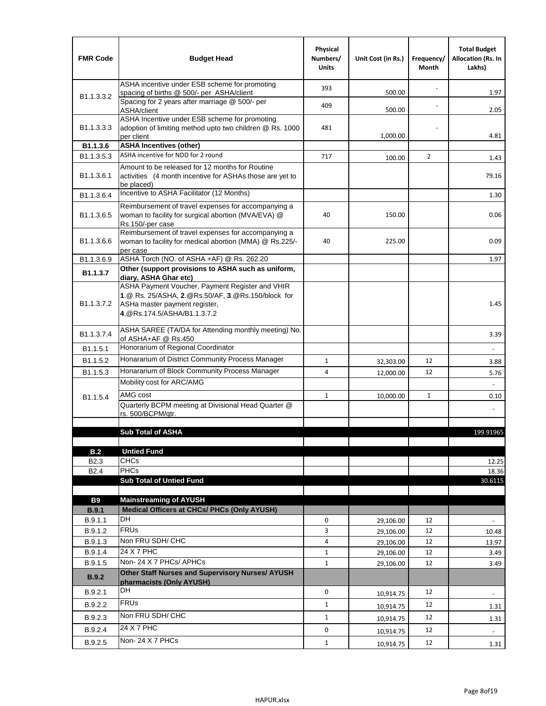| ASHA incentive under ESB scheme for promoting<br>393<br>500.00<br>1.97<br>spacing of births @ 500/- per ASHA/client<br>B <sub>1.1</sub> , 3, 3, 2<br>Spacing for 2 years after marriage @ 500/- per<br>409<br>2.05<br>500.00<br>ASHA/client<br>ASHA Incentive under ESB scheme for promoting<br>B1.1.3.3.3<br>adoption of limiting method upto two children @ Rs. 1000<br>481<br>1,000.00<br>4.81<br>per client<br><b>ASHA Incentives (other)</b><br>B1.1.3.6<br>ASHA incentive for NDD for 2 round<br>B <sub>1.1</sub> , 3, 5, 3<br>717<br>$\overline{2}$<br>100.00<br>1.43<br>Amount to be released for 12 months for Routine<br>B <sub>1.1</sub> .3.6.1<br>activities (4 month incentive for ASHAs those are yet to<br>79.16<br>be placed)<br>Incentive to ASHA Facilitator (12 Months)<br>B1.1.3.6.4<br>1.30<br>Reimbursement of travel expenses for accompanying a<br>woman to facility for surgical abortion (MVA/EVA) @<br>B <sub>1.1</sub> .3.6.5<br>40<br>150.00<br>0.06<br>Rs.150/-per case<br>Reimbursement of travel expenses for accompanying a<br>0.09<br>B <sub>1.1</sub> .3.6.6<br>woman to facility for medical abortion (MMA) @ Rs.225/-<br>40<br>225.00<br>per case<br>ASHA Torch (NO. of ASHA +AF) @ Rs. 262.20<br>B1.1.3.6.9<br>1.97<br>Other (support provisions to ASHA such as uniform,<br>B1.1.3.7<br>diary, ASHA Ghar etc)<br>ASHA Payment Voucher, Payment Register and VHIR<br>1.@ Rs. 25/ASHA, 2.@Rs.50/AF, 3.@Rs.150/block for<br>B <sub>1.1</sub> .3.7.2<br>1.45<br>ASHa master payment register,<br>4. @Rs.174.5/ASHA/B1.1.3.7.2<br>ASHA SAREE (TA/DA for Attending monthly meeting) No.<br>B <sub>1.1</sub> , 3.7.4<br>3.39<br>of ASHA+AF @ Rs.450<br>Honorarium of Regional Coordinator<br>B <sub>1.1</sub> .5.1<br>Honararium of District Community Process Manager<br>B <sub>1.1.5.2</sub><br>$\mathbf{1}$<br>12<br>32,303.00<br>3.88<br>Honararium of Block Community Process Manager<br>B <sub>1.1.5.3</sub><br>4<br>12<br>12,000.00<br>5.76<br>Mobility cost for ARC/AMG<br>AMG cost<br>$\mathbf{1}$<br>10,000.00<br>1<br>0.10<br>B <sub>1.1.5.4</sub><br>Quarterly BCPM meeting at Divisional Head Quarter @<br>rs. 500/BCPM/qtr.<br><b>Sub Total of ASHA</b><br>199.91965<br><b>Untied Fund</b><br>B.2<br><b>CHCs</b><br>B <sub>2.3</sub><br>12.25<br>PHCs<br>B <sub>2.4</sub><br>18.36<br><b>Sub Total of Untied Fund</b><br>30.6115<br><b>B9</b><br><b>Mainstreaming of AYUSH</b><br>Medical Officers at CHCs/ PHCs (Only AYUSH)<br>B.9.1<br><b>DH</b><br>B.9.1.1<br>0<br>12<br>29,106.00<br>٠<br><b>FRUs</b><br>B.9.1.2<br>3<br>12<br>29,106.00<br>10.48<br>Non FRU SDH/ CHC<br>4<br>B.9.1.3<br>12<br>29,106.00<br>13.97<br>24 X 7 PHC<br>B.9.1.4<br>$\mathbf{1}$<br>12<br>29,106.00<br>3.49<br>Non-24 X 7 PHCs/ APHCs<br>B.9.1.5<br>$\mathbf{1}$<br>12<br>29,106.00<br>3.49<br>Other Staff Nurses and Supervisory Nurses/ AYUSH<br><b>B.9.2</b><br>pharmacists (Only AYUSH)<br>DH<br>$\mathbf 0$<br>B.9.2.1<br>12<br>10,914.75<br>$\blacksquare$<br><b>FRUs</b><br>B.9.2.2<br>$\mathbf{1}$<br>12<br>10,914.75<br>1.31<br>Non FRU SDH/ CHC<br>B.9.2.3<br>$\mathbf{1}$<br>12<br>10,914.75<br>1.31<br>24 X 7 PHC<br>B.9.2.4<br>0<br>12<br>10,914.75<br>$\overline{\phantom{a}}$<br>Non-24 X 7 PHCs<br>B.9.2.5<br>$\mathbf{1}$<br>12<br>10,914.75<br>1.31 | <b>FMR Code</b> | <b>Budget Head</b> | Physical<br>Numbers/<br><b>Units</b> | Unit Cost (in Rs.) | Frequency/<br>Month | <b>Total Budget</b><br><b>Allocation (Rs. In</b><br>Lakhs) |
|----------------------------------------------------------------------------------------------------------------------------------------------------------------------------------------------------------------------------------------------------------------------------------------------------------------------------------------------------------------------------------------------------------------------------------------------------------------------------------------------------------------------------------------------------------------------------------------------------------------------------------------------------------------------------------------------------------------------------------------------------------------------------------------------------------------------------------------------------------------------------------------------------------------------------------------------------------------------------------------------------------------------------------------------------------------------------------------------------------------------------------------------------------------------------------------------------------------------------------------------------------------------------------------------------------------------------------------------------------------------------------------------------------------------------------------------------------------------------------------------------------------------------------------------------------------------------------------------------------------------------------------------------------------------------------------------------------------------------------------------------------------------------------------------------------------------------------------------------------------------------------------------------------------------------------------------------------------------------------------------------------------------------------------------------------------------------------------------------------------------------------------------------------------------------------------------------------------------------------------------------------------------------------------------------------------------------------------------------------------------------------------------------------------------------------------------------------------------------------------------------------------------------------------------------------------------------------------------------------------------------------------------------------------------------------------------------------------------------------------------------------------------------------------------------------------------------------------------------------------------------------------------------------------------------------------------------------------------------------------------------------------------------------------------------------------------------------------------------------------------------------------------------------------------------------------------------------------------------------------------------------------------------------------------------|-----------------|--------------------|--------------------------------------|--------------------|---------------------|------------------------------------------------------------|
|                                                                                                                                                                                                                                                                                                                                                                                                                                                                                                                                                                                                                                                                                                                                                                                                                                                                                                                                                                                                                                                                                                                                                                                                                                                                                                                                                                                                                                                                                                                                                                                                                                                                                                                                                                                                                                                                                                                                                                                                                                                                                                                                                                                                                                                                                                                                                                                                                                                                                                                                                                                                                                                                                                                                                                                                                                                                                                                                                                                                                                                                                                                                                                                                                                                                                                    |                 |                    |                                      |                    |                     |                                                            |
|                                                                                                                                                                                                                                                                                                                                                                                                                                                                                                                                                                                                                                                                                                                                                                                                                                                                                                                                                                                                                                                                                                                                                                                                                                                                                                                                                                                                                                                                                                                                                                                                                                                                                                                                                                                                                                                                                                                                                                                                                                                                                                                                                                                                                                                                                                                                                                                                                                                                                                                                                                                                                                                                                                                                                                                                                                                                                                                                                                                                                                                                                                                                                                                                                                                                                                    |                 |                    |                                      |                    |                     |                                                            |
|                                                                                                                                                                                                                                                                                                                                                                                                                                                                                                                                                                                                                                                                                                                                                                                                                                                                                                                                                                                                                                                                                                                                                                                                                                                                                                                                                                                                                                                                                                                                                                                                                                                                                                                                                                                                                                                                                                                                                                                                                                                                                                                                                                                                                                                                                                                                                                                                                                                                                                                                                                                                                                                                                                                                                                                                                                                                                                                                                                                                                                                                                                                                                                                                                                                                                                    |                 |                    |                                      |                    |                     |                                                            |
|                                                                                                                                                                                                                                                                                                                                                                                                                                                                                                                                                                                                                                                                                                                                                                                                                                                                                                                                                                                                                                                                                                                                                                                                                                                                                                                                                                                                                                                                                                                                                                                                                                                                                                                                                                                                                                                                                                                                                                                                                                                                                                                                                                                                                                                                                                                                                                                                                                                                                                                                                                                                                                                                                                                                                                                                                                                                                                                                                                                                                                                                                                                                                                                                                                                                                                    |                 |                    |                                      |                    |                     |                                                            |
|                                                                                                                                                                                                                                                                                                                                                                                                                                                                                                                                                                                                                                                                                                                                                                                                                                                                                                                                                                                                                                                                                                                                                                                                                                                                                                                                                                                                                                                                                                                                                                                                                                                                                                                                                                                                                                                                                                                                                                                                                                                                                                                                                                                                                                                                                                                                                                                                                                                                                                                                                                                                                                                                                                                                                                                                                                                                                                                                                                                                                                                                                                                                                                                                                                                                                                    |                 |                    |                                      |                    |                     |                                                            |
|                                                                                                                                                                                                                                                                                                                                                                                                                                                                                                                                                                                                                                                                                                                                                                                                                                                                                                                                                                                                                                                                                                                                                                                                                                                                                                                                                                                                                                                                                                                                                                                                                                                                                                                                                                                                                                                                                                                                                                                                                                                                                                                                                                                                                                                                                                                                                                                                                                                                                                                                                                                                                                                                                                                                                                                                                                                                                                                                                                                                                                                                                                                                                                                                                                                                                                    |                 |                    |                                      |                    |                     |                                                            |
|                                                                                                                                                                                                                                                                                                                                                                                                                                                                                                                                                                                                                                                                                                                                                                                                                                                                                                                                                                                                                                                                                                                                                                                                                                                                                                                                                                                                                                                                                                                                                                                                                                                                                                                                                                                                                                                                                                                                                                                                                                                                                                                                                                                                                                                                                                                                                                                                                                                                                                                                                                                                                                                                                                                                                                                                                                                                                                                                                                                                                                                                                                                                                                                                                                                                                                    |                 |                    |                                      |                    |                     |                                                            |
|                                                                                                                                                                                                                                                                                                                                                                                                                                                                                                                                                                                                                                                                                                                                                                                                                                                                                                                                                                                                                                                                                                                                                                                                                                                                                                                                                                                                                                                                                                                                                                                                                                                                                                                                                                                                                                                                                                                                                                                                                                                                                                                                                                                                                                                                                                                                                                                                                                                                                                                                                                                                                                                                                                                                                                                                                                                                                                                                                                                                                                                                                                                                                                                                                                                                                                    |                 |                    |                                      |                    |                     |                                                            |
|                                                                                                                                                                                                                                                                                                                                                                                                                                                                                                                                                                                                                                                                                                                                                                                                                                                                                                                                                                                                                                                                                                                                                                                                                                                                                                                                                                                                                                                                                                                                                                                                                                                                                                                                                                                                                                                                                                                                                                                                                                                                                                                                                                                                                                                                                                                                                                                                                                                                                                                                                                                                                                                                                                                                                                                                                                                                                                                                                                                                                                                                                                                                                                                                                                                                                                    |                 |                    |                                      |                    |                     |                                                            |
|                                                                                                                                                                                                                                                                                                                                                                                                                                                                                                                                                                                                                                                                                                                                                                                                                                                                                                                                                                                                                                                                                                                                                                                                                                                                                                                                                                                                                                                                                                                                                                                                                                                                                                                                                                                                                                                                                                                                                                                                                                                                                                                                                                                                                                                                                                                                                                                                                                                                                                                                                                                                                                                                                                                                                                                                                                                                                                                                                                                                                                                                                                                                                                                                                                                                                                    |                 |                    |                                      |                    |                     |                                                            |
|                                                                                                                                                                                                                                                                                                                                                                                                                                                                                                                                                                                                                                                                                                                                                                                                                                                                                                                                                                                                                                                                                                                                                                                                                                                                                                                                                                                                                                                                                                                                                                                                                                                                                                                                                                                                                                                                                                                                                                                                                                                                                                                                                                                                                                                                                                                                                                                                                                                                                                                                                                                                                                                                                                                                                                                                                                                                                                                                                                                                                                                                                                                                                                                                                                                                                                    |                 |                    |                                      |                    |                     |                                                            |
|                                                                                                                                                                                                                                                                                                                                                                                                                                                                                                                                                                                                                                                                                                                                                                                                                                                                                                                                                                                                                                                                                                                                                                                                                                                                                                                                                                                                                                                                                                                                                                                                                                                                                                                                                                                                                                                                                                                                                                                                                                                                                                                                                                                                                                                                                                                                                                                                                                                                                                                                                                                                                                                                                                                                                                                                                                                                                                                                                                                                                                                                                                                                                                                                                                                                                                    |                 |                    |                                      |                    |                     |                                                            |
|                                                                                                                                                                                                                                                                                                                                                                                                                                                                                                                                                                                                                                                                                                                                                                                                                                                                                                                                                                                                                                                                                                                                                                                                                                                                                                                                                                                                                                                                                                                                                                                                                                                                                                                                                                                                                                                                                                                                                                                                                                                                                                                                                                                                                                                                                                                                                                                                                                                                                                                                                                                                                                                                                                                                                                                                                                                                                                                                                                                                                                                                                                                                                                                                                                                                                                    |                 |                    |                                      |                    |                     |                                                            |
|                                                                                                                                                                                                                                                                                                                                                                                                                                                                                                                                                                                                                                                                                                                                                                                                                                                                                                                                                                                                                                                                                                                                                                                                                                                                                                                                                                                                                                                                                                                                                                                                                                                                                                                                                                                                                                                                                                                                                                                                                                                                                                                                                                                                                                                                                                                                                                                                                                                                                                                                                                                                                                                                                                                                                                                                                                                                                                                                                                                                                                                                                                                                                                                                                                                                                                    |                 |                    |                                      |                    |                     |                                                            |
|                                                                                                                                                                                                                                                                                                                                                                                                                                                                                                                                                                                                                                                                                                                                                                                                                                                                                                                                                                                                                                                                                                                                                                                                                                                                                                                                                                                                                                                                                                                                                                                                                                                                                                                                                                                                                                                                                                                                                                                                                                                                                                                                                                                                                                                                                                                                                                                                                                                                                                                                                                                                                                                                                                                                                                                                                                                                                                                                                                                                                                                                                                                                                                                                                                                                                                    |                 |                    |                                      |                    |                     |                                                            |
|                                                                                                                                                                                                                                                                                                                                                                                                                                                                                                                                                                                                                                                                                                                                                                                                                                                                                                                                                                                                                                                                                                                                                                                                                                                                                                                                                                                                                                                                                                                                                                                                                                                                                                                                                                                                                                                                                                                                                                                                                                                                                                                                                                                                                                                                                                                                                                                                                                                                                                                                                                                                                                                                                                                                                                                                                                                                                                                                                                                                                                                                                                                                                                                                                                                                                                    |                 |                    |                                      |                    |                     |                                                            |
|                                                                                                                                                                                                                                                                                                                                                                                                                                                                                                                                                                                                                                                                                                                                                                                                                                                                                                                                                                                                                                                                                                                                                                                                                                                                                                                                                                                                                                                                                                                                                                                                                                                                                                                                                                                                                                                                                                                                                                                                                                                                                                                                                                                                                                                                                                                                                                                                                                                                                                                                                                                                                                                                                                                                                                                                                                                                                                                                                                                                                                                                                                                                                                                                                                                                                                    |                 |                    |                                      |                    |                     |                                                            |
|                                                                                                                                                                                                                                                                                                                                                                                                                                                                                                                                                                                                                                                                                                                                                                                                                                                                                                                                                                                                                                                                                                                                                                                                                                                                                                                                                                                                                                                                                                                                                                                                                                                                                                                                                                                                                                                                                                                                                                                                                                                                                                                                                                                                                                                                                                                                                                                                                                                                                                                                                                                                                                                                                                                                                                                                                                                                                                                                                                                                                                                                                                                                                                                                                                                                                                    |                 |                    |                                      |                    |                     |                                                            |
|                                                                                                                                                                                                                                                                                                                                                                                                                                                                                                                                                                                                                                                                                                                                                                                                                                                                                                                                                                                                                                                                                                                                                                                                                                                                                                                                                                                                                                                                                                                                                                                                                                                                                                                                                                                                                                                                                                                                                                                                                                                                                                                                                                                                                                                                                                                                                                                                                                                                                                                                                                                                                                                                                                                                                                                                                                                                                                                                                                                                                                                                                                                                                                                                                                                                                                    |                 |                    |                                      |                    |                     |                                                            |
|                                                                                                                                                                                                                                                                                                                                                                                                                                                                                                                                                                                                                                                                                                                                                                                                                                                                                                                                                                                                                                                                                                                                                                                                                                                                                                                                                                                                                                                                                                                                                                                                                                                                                                                                                                                                                                                                                                                                                                                                                                                                                                                                                                                                                                                                                                                                                                                                                                                                                                                                                                                                                                                                                                                                                                                                                                                                                                                                                                                                                                                                                                                                                                                                                                                                                                    |                 |                    |                                      |                    |                     |                                                            |
|                                                                                                                                                                                                                                                                                                                                                                                                                                                                                                                                                                                                                                                                                                                                                                                                                                                                                                                                                                                                                                                                                                                                                                                                                                                                                                                                                                                                                                                                                                                                                                                                                                                                                                                                                                                                                                                                                                                                                                                                                                                                                                                                                                                                                                                                                                                                                                                                                                                                                                                                                                                                                                                                                                                                                                                                                                                                                                                                                                                                                                                                                                                                                                                                                                                                                                    |                 |                    |                                      |                    |                     |                                                            |
|                                                                                                                                                                                                                                                                                                                                                                                                                                                                                                                                                                                                                                                                                                                                                                                                                                                                                                                                                                                                                                                                                                                                                                                                                                                                                                                                                                                                                                                                                                                                                                                                                                                                                                                                                                                                                                                                                                                                                                                                                                                                                                                                                                                                                                                                                                                                                                                                                                                                                                                                                                                                                                                                                                                                                                                                                                                                                                                                                                                                                                                                                                                                                                                                                                                                                                    |                 |                    |                                      |                    |                     |                                                            |
|                                                                                                                                                                                                                                                                                                                                                                                                                                                                                                                                                                                                                                                                                                                                                                                                                                                                                                                                                                                                                                                                                                                                                                                                                                                                                                                                                                                                                                                                                                                                                                                                                                                                                                                                                                                                                                                                                                                                                                                                                                                                                                                                                                                                                                                                                                                                                                                                                                                                                                                                                                                                                                                                                                                                                                                                                                                                                                                                                                                                                                                                                                                                                                                                                                                                                                    |                 |                    |                                      |                    |                     |                                                            |
|                                                                                                                                                                                                                                                                                                                                                                                                                                                                                                                                                                                                                                                                                                                                                                                                                                                                                                                                                                                                                                                                                                                                                                                                                                                                                                                                                                                                                                                                                                                                                                                                                                                                                                                                                                                                                                                                                                                                                                                                                                                                                                                                                                                                                                                                                                                                                                                                                                                                                                                                                                                                                                                                                                                                                                                                                                                                                                                                                                                                                                                                                                                                                                                                                                                                                                    |                 |                    |                                      |                    |                     |                                                            |
|                                                                                                                                                                                                                                                                                                                                                                                                                                                                                                                                                                                                                                                                                                                                                                                                                                                                                                                                                                                                                                                                                                                                                                                                                                                                                                                                                                                                                                                                                                                                                                                                                                                                                                                                                                                                                                                                                                                                                                                                                                                                                                                                                                                                                                                                                                                                                                                                                                                                                                                                                                                                                                                                                                                                                                                                                                                                                                                                                                                                                                                                                                                                                                                                                                                                                                    |                 |                    |                                      |                    |                     |                                                            |
|                                                                                                                                                                                                                                                                                                                                                                                                                                                                                                                                                                                                                                                                                                                                                                                                                                                                                                                                                                                                                                                                                                                                                                                                                                                                                                                                                                                                                                                                                                                                                                                                                                                                                                                                                                                                                                                                                                                                                                                                                                                                                                                                                                                                                                                                                                                                                                                                                                                                                                                                                                                                                                                                                                                                                                                                                                                                                                                                                                                                                                                                                                                                                                                                                                                                                                    |                 |                    |                                      |                    |                     |                                                            |
|                                                                                                                                                                                                                                                                                                                                                                                                                                                                                                                                                                                                                                                                                                                                                                                                                                                                                                                                                                                                                                                                                                                                                                                                                                                                                                                                                                                                                                                                                                                                                                                                                                                                                                                                                                                                                                                                                                                                                                                                                                                                                                                                                                                                                                                                                                                                                                                                                                                                                                                                                                                                                                                                                                                                                                                                                                                                                                                                                                                                                                                                                                                                                                                                                                                                                                    |                 |                    |                                      |                    |                     |                                                            |
|                                                                                                                                                                                                                                                                                                                                                                                                                                                                                                                                                                                                                                                                                                                                                                                                                                                                                                                                                                                                                                                                                                                                                                                                                                                                                                                                                                                                                                                                                                                                                                                                                                                                                                                                                                                                                                                                                                                                                                                                                                                                                                                                                                                                                                                                                                                                                                                                                                                                                                                                                                                                                                                                                                                                                                                                                                                                                                                                                                                                                                                                                                                                                                                                                                                                                                    |                 |                    |                                      |                    |                     |                                                            |
|                                                                                                                                                                                                                                                                                                                                                                                                                                                                                                                                                                                                                                                                                                                                                                                                                                                                                                                                                                                                                                                                                                                                                                                                                                                                                                                                                                                                                                                                                                                                                                                                                                                                                                                                                                                                                                                                                                                                                                                                                                                                                                                                                                                                                                                                                                                                                                                                                                                                                                                                                                                                                                                                                                                                                                                                                                                                                                                                                                                                                                                                                                                                                                                                                                                                                                    |                 |                    |                                      |                    |                     |                                                            |
|                                                                                                                                                                                                                                                                                                                                                                                                                                                                                                                                                                                                                                                                                                                                                                                                                                                                                                                                                                                                                                                                                                                                                                                                                                                                                                                                                                                                                                                                                                                                                                                                                                                                                                                                                                                                                                                                                                                                                                                                                                                                                                                                                                                                                                                                                                                                                                                                                                                                                                                                                                                                                                                                                                                                                                                                                                                                                                                                                                                                                                                                                                                                                                                                                                                                                                    |                 |                    |                                      |                    |                     |                                                            |
|                                                                                                                                                                                                                                                                                                                                                                                                                                                                                                                                                                                                                                                                                                                                                                                                                                                                                                                                                                                                                                                                                                                                                                                                                                                                                                                                                                                                                                                                                                                                                                                                                                                                                                                                                                                                                                                                                                                                                                                                                                                                                                                                                                                                                                                                                                                                                                                                                                                                                                                                                                                                                                                                                                                                                                                                                                                                                                                                                                                                                                                                                                                                                                                                                                                                                                    |                 |                    |                                      |                    |                     |                                                            |
|                                                                                                                                                                                                                                                                                                                                                                                                                                                                                                                                                                                                                                                                                                                                                                                                                                                                                                                                                                                                                                                                                                                                                                                                                                                                                                                                                                                                                                                                                                                                                                                                                                                                                                                                                                                                                                                                                                                                                                                                                                                                                                                                                                                                                                                                                                                                                                                                                                                                                                                                                                                                                                                                                                                                                                                                                                                                                                                                                                                                                                                                                                                                                                                                                                                                                                    |                 |                    |                                      |                    |                     |                                                            |
|                                                                                                                                                                                                                                                                                                                                                                                                                                                                                                                                                                                                                                                                                                                                                                                                                                                                                                                                                                                                                                                                                                                                                                                                                                                                                                                                                                                                                                                                                                                                                                                                                                                                                                                                                                                                                                                                                                                                                                                                                                                                                                                                                                                                                                                                                                                                                                                                                                                                                                                                                                                                                                                                                                                                                                                                                                                                                                                                                                                                                                                                                                                                                                                                                                                                                                    |                 |                    |                                      |                    |                     |                                                            |
|                                                                                                                                                                                                                                                                                                                                                                                                                                                                                                                                                                                                                                                                                                                                                                                                                                                                                                                                                                                                                                                                                                                                                                                                                                                                                                                                                                                                                                                                                                                                                                                                                                                                                                                                                                                                                                                                                                                                                                                                                                                                                                                                                                                                                                                                                                                                                                                                                                                                                                                                                                                                                                                                                                                                                                                                                                                                                                                                                                                                                                                                                                                                                                                                                                                                                                    |                 |                    |                                      |                    |                     |                                                            |
|                                                                                                                                                                                                                                                                                                                                                                                                                                                                                                                                                                                                                                                                                                                                                                                                                                                                                                                                                                                                                                                                                                                                                                                                                                                                                                                                                                                                                                                                                                                                                                                                                                                                                                                                                                                                                                                                                                                                                                                                                                                                                                                                                                                                                                                                                                                                                                                                                                                                                                                                                                                                                                                                                                                                                                                                                                                                                                                                                                                                                                                                                                                                                                                                                                                                                                    |                 |                    |                                      |                    |                     |                                                            |
|                                                                                                                                                                                                                                                                                                                                                                                                                                                                                                                                                                                                                                                                                                                                                                                                                                                                                                                                                                                                                                                                                                                                                                                                                                                                                                                                                                                                                                                                                                                                                                                                                                                                                                                                                                                                                                                                                                                                                                                                                                                                                                                                                                                                                                                                                                                                                                                                                                                                                                                                                                                                                                                                                                                                                                                                                                                                                                                                                                                                                                                                                                                                                                                                                                                                                                    |                 |                    |                                      |                    |                     |                                                            |
|                                                                                                                                                                                                                                                                                                                                                                                                                                                                                                                                                                                                                                                                                                                                                                                                                                                                                                                                                                                                                                                                                                                                                                                                                                                                                                                                                                                                                                                                                                                                                                                                                                                                                                                                                                                                                                                                                                                                                                                                                                                                                                                                                                                                                                                                                                                                                                                                                                                                                                                                                                                                                                                                                                                                                                                                                                                                                                                                                                                                                                                                                                                                                                                                                                                                                                    |                 |                    |                                      |                    |                     |                                                            |
|                                                                                                                                                                                                                                                                                                                                                                                                                                                                                                                                                                                                                                                                                                                                                                                                                                                                                                                                                                                                                                                                                                                                                                                                                                                                                                                                                                                                                                                                                                                                                                                                                                                                                                                                                                                                                                                                                                                                                                                                                                                                                                                                                                                                                                                                                                                                                                                                                                                                                                                                                                                                                                                                                                                                                                                                                                                                                                                                                                                                                                                                                                                                                                                                                                                                                                    |                 |                    |                                      |                    |                     |                                                            |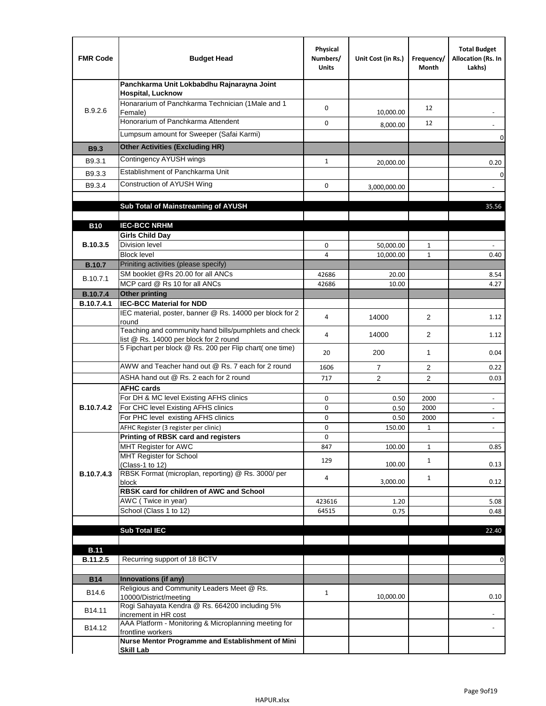| <b>FMR Code</b>   | <b>Budget Head</b>                                                                              | Physical<br>Numbers/<br><b>Units</b> | Unit Cost (in Rs.) | Frequency/<br>Month | <b>Total Budget</b><br>Allocation (Rs. In<br>Lakhs)  |
|-------------------|-------------------------------------------------------------------------------------------------|--------------------------------------|--------------------|---------------------|------------------------------------------------------|
|                   | Panchkarma Unit Lokbabdhu Rajnarayna Joint<br><b>Hospital, Lucknow</b>                          |                                      |                    |                     |                                                      |
| B.9.2.6           | Honararium of Panchkarma Technician (1Male and 1<br>Female)                                     | 0                                    | 10,000.00          | 12                  |                                                      |
|                   | Honorarium of Panchkarma Attendent                                                              | 0                                    | 8,000.00           | 12                  |                                                      |
|                   | Lumpsum amount for Sweeper (Safai Karmi)                                                        |                                      |                    |                     | 0                                                    |
| <b>B9.3</b>       | <b>Other Activities (Excluding HR)</b>                                                          |                                      |                    |                     |                                                      |
| B9.3.1            | Contingency AYUSH wings                                                                         | $\mathbf{1}$                         | 20,000.00          |                     | 0.20                                                 |
| B9.3.3            | Establishment of Panchkarma Unit                                                                |                                      |                    |                     | $\mathbf 0$                                          |
| B9.3.4            | Construction of AYUSH Wing                                                                      | 0                                    | 3,000,000.00       |                     |                                                      |
|                   |                                                                                                 |                                      |                    |                     |                                                      |
|                   | Sub Total of Mainstreaming of AYUSH                                                             |                                      |                    |                     | 35.56                                                |
|                   |                                                                                                 |                                      |                    |                     |                                                      |
| <b>B10</b>        | <b>IEC-BCC NRHM</b><br><b>Girls Child Day</b>                                                   |                                      |                    |                     |                                                      |
| B.10.3.5          | <b>Division level</b>                                                                           | 0                                    | 50,000.00          | 1                   |                                                      |
|                   | <b>Block level</b>                                                                              | 4                                    | 10,000.00          | $\mathbf{1}$        | 0.40                                                 |
| <b>B.10.7</b>     | Priniting activities (please specify)                                                           |                                      |                    |                     |                                                      |
| B.10.7.1          | SM booklet @Rs 20.00 for all ANCs                                                               | 42686                                | 20.00              |                     | 8.54                                                 |
| <b>B.10.7.4</b>   | MCP card @ Rs 10 for all ANCs<br><b>Other printing</b>                                          | 42686                                | 10.00              |                     | 4.27                                                 |
| B.10.7.4.1        | <b>IEC-BCC Material for NDD</b>                                                                 |                                      |                    |                     |                                                      |
|                   | IEC material, poster, banner @ Rs. 14000 per block for 2<br>round                               | 4                                    | 14000              | $\overline{2}$      | 1.12                                                 |
|                   | Teaching and community hand bills/pumphlets and check<br>list @ Rs. 14000 per block for 2 round | 4                                    | 14000              | $\overline{2}$      | 1.12                                                 |
|                   | 5 Fipchart per block @ Rs. 200 per Flip chart( one time)                                        | 20                                   | 200                | $\mathbf{1}$        | 0.04                                                 |
|                   | AWW and Teacher hand out @ Rs. 7 each for 2 round                                               | 1606                                 | $\overline{7}$     | 2                   | 0.22                                                 |
|                   | ASHA hand out @ Rs. 2 each for 2 round                                                          | 717                                  | $\overline{2}$     | 2                   | 0.03                                                 |
|                   | <b>AFHC cards</b><br>For DH & MC level Existing AFHS clinics                                    |                                      |                    |                     |                                                      |
| <b>B.10.7.4.2</b> | For CHC level Existing AFHS clinics                                                             | 0<br>0                               | 0.50<br>0.50       | 2000<br>2000        | $\overline{\phantom{a}}$<br>$\overline{\phantom{a}}$ |
|                   | For PHC level existing AFHS clinics                                                             | 0                                    | 0.50               | 2000                | $\bar{\phantom{a}}$                                  |
|                   | AFHC Register (3 register per clinic)                                                           | 0                                    | 150.00             | $\mathbf{1}$        | $\blacksquare$                                       |
|                   | Printing of RBSK card and registers                                                             | 0                                    |                    |                     |                                                      |
|                   | MHT Register for AWC                                                                            | 847                                  | 100.00             | $\mathbf{1}$        | 0.85                                                 |
|                   | MHT Register for School<br>(Class-1 to 12)                                                      | 129                                  | 100.00             | $\mathbf{1}$        | 0.13                                                 |
| B.10.7.4.3        | RBSK Format (microplan, reporting) @ Rs. 3000/ per<br>block                                     | 4                                    | 3,000.00           | $\mathbf{1}$        | 0.12                                                 |
|                   | RBSK card for children of AWC and School                                                        |                                      |                    |                     |                                                      |
|                   | AWC (Twice in year)                                                                             | 423616                               | 1.20               |                     | 5.08                                                 |
|                   | School (Class 1 to 12)                                                                          | 64515                                | 0.75               |                     | 0.48                                                 |
|                   | <b>Sub Total IEC</b>                                                                            |                                      |                    |                     | 22.40                                                |
|                   |                                                                                                 |                                      |                    |                     |                                                      |
| <b>B.11</b>       |                                                                                                 |                                      |                    |                     |                                                      |
| B.11.2.5          | Recurring support of 18 BCTV                                                                    |                                      |                    |                     | 0                                                    |
|                   |                                                                                                 |                                      |                    |                     |                                                      |
| <b>B14</b>        | Innovations (if any)<br>Religious and Community Leaders Meet @ Rs.                              |                                      |                    |                     |                                                      |
| B14.6             | 10000/District/meeting                                                                          | $\mathbf{1}$                         | 10,000.00          |                     | 0.10                                                 |
| B14.11            | Rogi Sahayata Kendra @ Rs. 664200 including 5%<br>increment in HR cost                          |                                      |                    |                     |                                                      |
| B14.12            | AAA Platform - Monitoring & Microplanning meeting for<br>frontline workers                      |                                      |                    |                     |                                                      |
|                   | Nurse Mentor Programme and Establishment of Mini                                                |                                      |                    |                     |                                                      |
|                   | <b>Skill Lab</b>                                                                                |                                      |                    |                     |                                                      |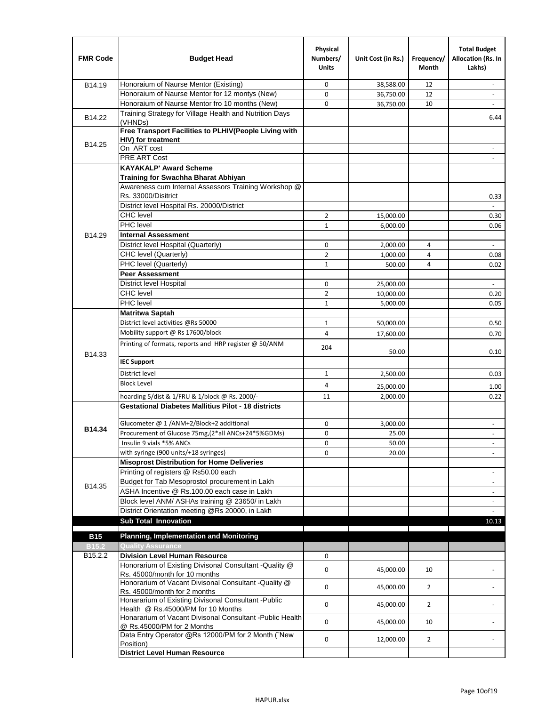| <b>FMR Code</b> | <b>Budget Head</b>                                                                         | Physical<br>Numbers/<br><b>Units</b> | Unit Cost (in Rs.) | Frequency/<br><b>Month</b> | <b>Total Budget</b><br>Allocation (Rs. In<br>Lakhs) |
|-----------------|--------------------------------------------------------------------------------------------|--------------------------------------|--------------------|----------------------------|-----------------------------------------------------|
| B14.19          | Honoraium of Naurse Mentor (Existing)                                                      | 0                                    | 38,588.00          | 12                         | $\sim$                                              |
|                 | Honoraium of Naurse Mentor for 12 montys (New)                                             | 0                                    | 36,750.00          | 12                         |                                                     |
|                 | Honoraium of Naurse Mentor fro 10 months (New)                                             | 0                                    | 36,750.00          | 10                         | $\sim$                                              |
| B14.22          | Training Strategy for Village Health and Nutrition Days<br>(VHNDs)                         |                                      |                    |                            | 6.44                                                |
|                 | Free Transport Facilities to PLHIV(People Living with                                      |                                      |                    |                            |                                                     |
| B14.25          | <b>HIV)</b> for treatment                                                                  |                                      |                    |                            |                                                     |
|                 | On ART cost                                                                                |                                      |                    |                            |                                                     |
|                 | PRE ART Cost                                                                               |                                      |                    |                            |                                                     |
|                 | <b>KAYAKALP' Award Scheme</b>                                                              |                                      |                    |                            |                                                     |
|                 | Training for Swachha Bharat Abhiyan                                                        |                                      |                    |                            |                                                     |
|                 | Awareness cum Internal Assessors Training Workshop @                                       |                                      |                    |                            |                                                     |
|                 | Rs. 33000/Disitrict                                                                        |                                      |                    |                            | 0.33<br>$\overline{a}$                              |
|                 | District level Hospital Rs. 20000/District<br><b>CHC</b> level                             |                                      |                    |                            |                                                     |
|                 | PHC level                                                                                  | $\overline{2}$                       | 15,000.00          |                            | 0.30                                                |
|                 |                                                                                            | $\mathbf{1}$                         | 6,000.00           |                            | 0.06                                                |
| B14.29          | <b>Internal Assessment</b><br>District level Hospital (Quarterly)                          |                                      |                    |                            |                                                     |
|                 | CHC level (Quarterly)                                                                      | 0                                    | 2,000.00           | 4                          |                                                     |
|                 |                                                                                            | $\overline{2}$                       | 1,000.00           | 4                          | 0.08                                                |
|                 | PHC level (Quarterly)<br><b>Peer Assessment</b>                                            | $\mathbf{1}$                         | 500.00             | 4                          | 0.02                                                |
|                 |                                                                                            |                                      |                    |                            |                                                     |
|                 | <b>District level Hospital</b><br><b>CHC</b> level                                         | 0                                    | 25,000.00          |                            |                                                     |
|                 | PHC level                                                                                  | $\overline{2}$<br>$\mathbf{1}$       | 10,000.00          |                            | 0.20                                                |
|                 | <b>Matritwa Saptah</b>                                                                     |                                      | 5,000.00           |                            | 0.05                                                |
|                 | District level activities @Rs 50000                                                        | $\mathbf{1}$                         |                    |                            | 0.50                                                |
|                 |                                                                                            |                                      | 50,000.00          |                            |                                                     |
|                 | Mobility support @ Rs 17600/block                                                          | 4                                    | 17,600.00          |                            | 0.70                                                |
| B14.33          | Printing of formats, reports and HRP register @ 50/ANM                                     | 204                                  | 50.00              |                            | 0.10                                                |
|                 | <b>IEC Support</b>                                                                         |                                      |                    |                            |                                                     |
|                 | District level                                                                             | $\mathbf{1}$                         | 2,500.00           |                            | 0.03                                                |
|                 | <b>Block Level</b>                                                                         | 4                                    | 25,000.00          |                            | 1.00                                                |
|                 | hoarding 5/dist & 1/FRU & 1/block @ Rs. 2000/-                                             | 11                                   | 2,000.00           |                            | 0.22                                                |
|                 | <b>Gestational Diabetes Mallitius Pilot - 18 districts</b>                                 |                                      |                    |                            |                                                     |
|                 | Glucometer @ 1 /ANM+2/Block+2 additional                                                   | 0                                    | 3.000.00           |                            | $\overline{\phantom{a}}$                            |
| B14.34          | Procurement of Glucose 75mg, (2*all ANCs+24*5%GDMs)                                        | 0                                    | 25.00              |                            |                                                     |
|                 | Insulin 9 vials *5% ANCs                                                                   | 0                                    | 50.00              |                            | $\blacksquare$                                      |
|                 | with syringe (900 units/+18 syringes)                                                      | 0                                    | 20.00              |                            |                                                     |
|                 | <b>Misoprost Distribution for Home Deliveries</b>                                          |                                      |                    |                            |                                                     |
|                 | Printing of registers @ Rs50.00 each                                                       |                                      |                    |                            | $\overline{\phantom{a}}$                            |
|                 | Budget for Tab Mesoprostol procurement in Lakh                                             |                                      |                    |                            | $\blacksquare$                                      |
| B14.35          | ASHA Incentive @ Rs.100.00 each case in Lakh                                               |                                      |                    |                            | $\overline{\phantom{a}}$                            |
|                 | Block level ANM/ ASHAs training @ 23650/ in Lakh                                           |                                      |                    |                            | $\blacksquare$                                      |
|                 | District Orientation meeting @Rs 20000, in Lakh                                            |                                      |                    |                            |                                                     |
|                 | <b>Sub Total Innovation</b>                                                                |                                      |                    |                            | 10.13                                               |
| <b>B15</b>      | <b>Planning, Implementation and Monitoring</b>                                             |                                      |                    |                            |                                                     |
| <b>B15.2</b>    | <b>Quality Assurance</b>                                                                   |                                      |                    |                            |                                                     |
| B15.2.2         | <b>Division Level Human Resource</b>                                                       | 0                                    |                    |                            |                                                     |
|                 | Honorarium of Existing Divisonal Consultant -Quality @                                     |                                      |                    |                            |                                                     |
|                 | Rs. 45000/month for 10 months                                                              | $\mathbf 0$                          | 45,000.00          | 10                         |                                                     |
|                 | Honorarium of Vacant Divisonal Consultant -Quality @<br>Rs. 45000/month for 2 months       | $\mathbf 0$                          | 45,000.00          | $\overline{2}$             |                                                     |
|                 | Honararium of Existing Divisonal Consultant - Public<br>Health @ Rs.45000/PM for 10 Months | $\mathbf 0$                          | 45,000.00          | $\overline{2}$             |                                                     |
|                 | Honararium of Vacant Divisonal Consultant - Public Health<br>@ Rs.45000/PM for 2 Months    | $\mathbf 0$                          | 45,000.00          | 10                         |                                                     |
|                 | Data Entry Operator @Rs 12000/PM for 2 Month ("New                                         | 0                                    | 12,000.00          | $\overline{2}$             |                                                     |
|                 | Position)<br><b>District Level Human Resource</b>                                          |                                      |                    |                            |                                                     |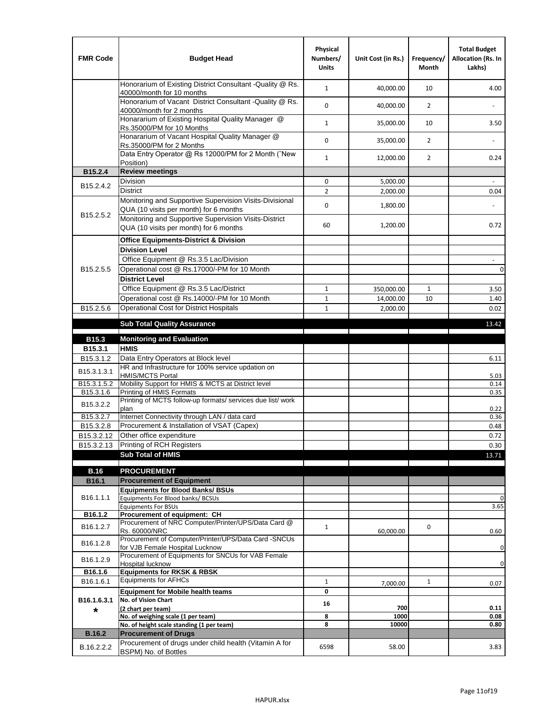| <b>FMR Code</b>         | <b>Budget Head</b>                                                                                | Physical<br>Numbers/<br><b>Units</b> | Unit Cost (in Rs.) | Frequency/<br><b>Month</b> | <b>Total Budget</b><br>Allocation (Rs. In<br>Lakhs) |
|-------------------------|---------------------------------------------------------------------------------------------------|--------------------------------------|--------------------|----------------------------|-----------------------------------------------------|
|                         | Honorarium of Existing District Consultant -Quality @ Rs.<br>40000/month for 10 months            | $\mathbf{1}$                         | 40,000.00          | 10                         | 4.00                                                |
|                         | Honorarium of Vacant District Consultant -Quality @ Rs.<br>40000/month for 2 months               | $\mathbf 0$                          | 40,000.00          | $\overline{2}$             |                                                     |
|                         | Honararium of Existing Hospital Quality Manager @<br>Rs.35000/PM for 10 Months                    | $\mathbf{1}$                         | 35,000.00          | 10                         | 3.50                                                |
|                         | Honararium of Vacant Hospital Quality Manager @<br>Rs.35000/PM for 2 Months                       | $\mathbf 0$                          | 35,000.00          | $\overline{2}$             |                                                     |
|                         | Data Entry Operator @ Rs 12000/PM for 2 Month ("New<br>Position)                                  | $\mathbf{1}$                         | 12,000.00          | $\overline{2}$             | 0.24                                                |
| B15.2.4                 | <b>Review meetings</b>                                                                            |                                      |                    |                            |                                                     |
| B <sub>15.2</sub> .4.2  | Division                                                                                          | 0                                    | 5,000.00           |                            |                                                     |
|                         | <b>District</b>                                                                                   | $\overline{2}$                       | 2,000.00           |                            | 0.04                                                |
| B15.2.5.2               | Monitoring and Supportive Supervision Visits-Divisional<br>QUA (10 visits per month) for 6 months | $\mathbf 0$                          | 1,800.00           |                            |                                                     |
|                         | Monitoring and Supportive Supervision Visits-District<br>QUA (10 visits per month) for 6 months   | 60                                   | 1,200.00           |                            | 0.72                                                |
|                         | <b>Office Equipments-District &amp; Division</b>                                                  |                                      |                    |                            |                                                     |
|                         | <b>Division Level</b>                                                                             |                                      |                    |                            |                                                     |
|                         | Office Equipment @ Rs.3.5 Lac/Division                                                            |                                      |                    |                            | $\overline{\phantom{a}}$                            |
| B15.2.5.5               | Operational cost @ Rs.17000/-PM for 10 Month                                                      |                                      |                    |                            | $\pmb{0}$                                           |
|                         | <b>District Level</b>                                                                             |                                      |                    |                            |                                                     |
|                         | Office Equipment @ Rs.3.5 Lac/District                                                            | $\mathbf{1}$                         | 350,000.00         | $\mathbf{1}$               | 3.50                                                |
|                         | Operational cost @ Rs.14000/-PM for 10 Month                                                      | $1\,$                                | 14,000.00          | 10                         | 1.40                                                |
| B15.2.5.6               | <b>Operational Cost for District Hospitals</b>                                                    | $\mathbf{1}$                         | 2,000.00           |                            | 0.02                                                |
|                         | <b>Sub Total Quality Assurance</b>                                                                |                                      |                    |                            | 13.42                                               |
| B15.3                   | <b>Monitoring and Evaluation</b>                                                                  |                                      |                    |                            |                                                     |
| B15.3.1                 | <b>HMIS</b>                                                                                       |                                      |                    |                            |                                                     |
| B15.3.1.2               | Data Entry Operators at Block level                                                               |                                      |                    |                            | 6.11                                                |
| B15.3.1.3.1             | HR and Infrastructure for 100% service updation on<br><b>HMIS/MCTS Portal</b>                     |                                      |                    |                            | 5.03                                                |
| B <sub>15.3.1.5.2</sub> | Mobility Support for HMIS & MCTS at District level                                                |                                      |                    |                            | 0.14                                                |
| B15.3.1.6               | Printing of HMIS Formats<br>Printing of MCTS follow-up formats/ services due list/ work           |                                      |                    |                            | 0.35                                                |
| B15.3.2.2               | plan                                                                                              |                                      |                    |                            | 0.22                                                |
| B15.3.2.7               | Internet Connectivity through LAN / data card                                                     |                                      |                    |                            | 0.36                                                |
| B15.3.2.8               | Procurement & Installation of VSAT (Capex)                                                        |                                      |                    |                            | 0.48                                                |
| B15.3.2.12              | Other office expenditure                                                                          |                                      |                    |                            | 0.72                                                |
| B15.3.2.13              | Printing of RCH Registers                                                                         |                                      |                    |                            | 0.30                                                |
|                         | <b>Sub Total of HMIS</b>                                                                          |                                      |                    |                            | 13.71                                               |
| <b>B.16</b>             | <b>PROCUREMENT</b>                                                                                |                                      |                    |                            |                                                     |
| B16.1                   | <b>Procurement of Equipment</b>                                                                   |                                      |                    |                            |                                                     |
|                         | <b>Equipments for Blood Banks/ BSUs</b>                                                           |                                      |                    |                            |                                                     |
| B16.1.1.1               | Equipments For Blood banks/ BCSUs                                                                 |                                      |                    |                            | 0                                                   |
| B16.1.2                 | <b>Equipments For BSUs</b><br>Procurement of equipment: CH                                        |                                      |                    |                            | 3.65                                                |
|                         | Procurement of NRC Computer/Printer/UPS/Data Card @                                               |                                      |                    |                            |                                                     |
| B16.1.2.7               | Rs. 60000/NRC                                                                                     | $\mathbf{1}$                         | 60,000.00          | 0                          | 0.60                                                |
| B16.1.2.8               | Procurement of Computer/Printer/UPS/Data Card -SNCUs                                              |                                      |                    |                            |                                                     |
|                         | for VJB Female Hospital Lucknow<br>Procurement of Equipments for SNCUs for VAB Female             |                                      |                    |                            | 0                                                   |
| B16.1.2.9               | Hospital lucknow                                                                                  |                                      |                    |                            | 0                                                   |
| B16.1.6                 | <b>Equipments for RKSK &amp; RBSK</b>                                                             |                                      |                    |                            |                                                     |
| B16.1.6.1               | <b>Equipments for AFHCs</b>                                                                       | $\mathbf{1}$                         | 7,000.00           | $\mathbf{1}$               | 0.07                                                |
|                         | <b>Equipment for Mobile health teams</b>                                                          | 0                                    |                    |                            |                                                     |
| B16.1.6.3.1<br>*        | No. of Vision Chart<br>(2 chart per team)                                                         | 16                                   | 700                |                            | 0.11                                                |
|                         | No. of weighing scale (1 per team)                                                                | 8                                    | 1000               |                            | 0.08                                                |
|                         | No. of height scale standing (1 per team)                                                         | 8                                    | 10000              |                            | 0.80                                                |
| <b>B.16.2</b>           | <b>Procurement of Drugs</b>                                                                       |                                      |                    |                            |                                                     |
| B.16.2.2.2              | Procurement of drugs under child health (Vitamin A for<br>BSPM) No. of Bottles                    | 6598                                 | 58.00              |                            | 3.83                                                |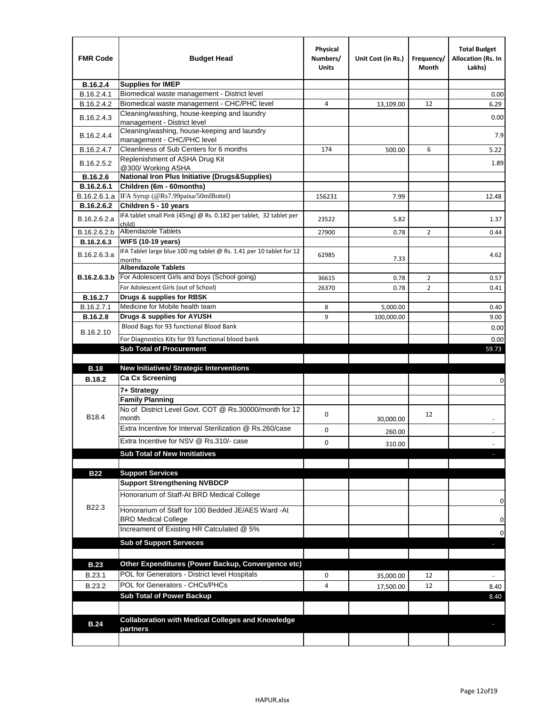| <b>FMR Code</b> | <b>Budget Head</b>                                                            | Physical<br>Numbers/<br><b>Units</b> | Unit Cost (in Rs.) | Frequency/<br>Month | <b>Total Budget</b><br><b>Allocation (Rs. In</b><br>Lakhs) |
|-----------------|-------------------------------------------------------------------------------|--------------------------------------|--------------------|---------------------|------------------------------------------------------------|
| B.16.2.4        | <b>Supplies for IMEP</b>                                                      |                                      |                    |                     |                                                            |
| B.16.2.4.1      | Biomedical waste management - District level                                  |                                      |                    |                     | 0.00                                                       |
| B.16.2.4.2      | Biomedical waste management - CHC/PHC level                                   | 4                                    | 13,109.00          | 12                  | 6.29                                                       |
| B.16.2.4.3      | Cleaning/washing, house-keeping and laundry<br>management - District level    |                                      |                    |                     | 0.00                                                       |
| B.16.2.4.4      | Cleaning/washing, house-keeping and laundry<br>management - CHC/PHC level     |                                      |                    |                     | 7.9                                                        |
| B.16.2.4.7      | Cleanliness of Sub Centers for 6 months                                       | 174                                  | 500.00             | 6                   | 5.22                                                       |
| B.16.2.5.2      | Replenishment of ASHA Drug Kit<br>@300/ Working ASHA                          |                                      |                    |                     | 1.89                                                       |
| B.16.2.6        | <b>National Iron Plus Initiative (Drugs&amp;Supplies)</b>                     |                                      |                    |                     |                                                            |
| B.16.2.6.1      | Children (6m - 60months)                                                      |                                      |                    |                     |                                                            |
| B.16.2.6.1.a    | IFA Syrup (@Rs7.99paisa/50mlBottel)                                           | 156231                               | 7.99               |                     | 12.48                                                      |
| B.16.2.6.2      | Children 5 - 10 years                                                         |                                      |                    |                     |                                                            |
| B.16.2.6.2.a    | IFA tablet small Pink (45mg) @ Rs. 0.182 per tablet, 32 tablet per<br>child)  | 23522                                | 5.82               |                     | 1.37                                                       |
| B.16.2.6.2.b    | <b>Albendazole Tablets</b>                                                    | 27900                                | 0.78               | 2                   | 0.44                                                       |
| B.16.2.6.3      | <b>WIFS (10-19 years)</b>                                                     |                                      |                    |                     |                                                            |
| B.16.2.6.3.a    | IFA Tablet large blue 100 mg tablet @ Rs. 1.41 per 10 tablet for 12<br>months | 62985                                | 7.33               |                     | 4.62                                                       |
|                 | <b>Albendazole Tablets</b>                                                    |                                      |                    |                     |                                                            |
| B.16.2.6.3.b    | For Adolescent Girls and boys (School going)                                  | 36615                                | 0.78               | $\overline{2}$      | 0.57                                                       |
|                 | For Adolescent Girls (out of School)                                          | 26370                                | 0.78               | $\overline{2}$      | 0.41                                                       |
| B.16.2.7        | Drugs & supplies for RBSK                                                     |                                      |                    |                     |                                                            |
| B.16.2.7.1      | Medicine for Mobile health team                                               | 8                                    | 5,000.00           |                     | 0.40                                                       |
| <b>B.16.2.8</b> | Drugs & supplies for AYUSH<br>Blood Bags for 93 functional Blood Bank         | 9                                    | 100,000.00         |                     | 9.00                                                       |
| B.16.2.10       |                                                                               |                                      |                    |                     | 0.00                                                       |
|                 | For Diagnostics Kits for 93 functional blood bank                             |                                      |                    |                     | 0.00                                                       |
|                 | <b>Sub Total of Procurement</b>                                               |                                      |                    |                     | 59.73                                                      |
| <b>B.18</b>     | <b>New Initiatives/ Strategic Interventions</b>                               |                                      |                    |                     |                                                            |
| <b>B.18.2</b>   | <b>Ca Cx Screening</b>                                                        |                                      |                    |                     |                                                            |
|                 |                                                                               |                                      |                    |                     | 0                                                          |
|                 | 7+ Strategy<br><b>Family Planning</b>                                         |                                      |                    |                     |                                                            |
| B18.4           | No of District Level Govt, COT @ Rs.30000/month for 12<br>month               | 0                                    |                    | 12                  |                                                            |
|                 | Extra Incentive for Interval Sterilization @ Rs.260/case                      |                                      | 30,000.00          |                     |                                                            |
|                 |                                                                               | 0                                    | 260.00             |                     |                                                            |
|                 | Extra Incentive for NSV @ Rs.310/- case                                       | 0                                    | 310.00             |                     |                                                            |
|                 | <b>Sub Total of New Innitiatives</b>                                          |                                      |                    |                     |                                                            |
|                 |                                                                               |                                      |                    |                     |                                                            |
| <b>B22</b>      | <b>Support Services</b><br><b>Support Strengthening NVBDCP</b>                |                                      |                    |                     |                                                            |
|                 | Honorarium of Staff-At BRD Medical College                                    |                                      |                    |                     |                                                            |
| B22.3           | Honorarium of Staff for 100 Bedded JE/AES Ward -At                            |                                      |                    |                     | 0                                                          |
|                 | <b>BRD Medical College</b><br>Increament of Existing HR Catculated @ 5%       |                                      |                    |                     | 0                                                          |
|                 | <b>Sub of Support Serveces</b>                                                |                                      |                    |                     | 0                                                          |
|                 |                                                                               |                                      |                    |                     |                                                            |
| <b>B.23</b>     | Other Expenditures (Power Backup, Convergence etc)                            |                                      |                    |                     |                                                            |
|                 | POL for Generators - District level Hospitals                                 |                                      |                    |                     |                                                            |
| B.23.1          | POL for Generators - CHCs/PHCs                                                | 0                                    | 35,000.00          | 12                  |                                                            |
| B.23.2          | <b>Sub Total of Power Backup</b>                                              | 4                                    | 17,500.00          | 12                  | 8.40                                                       |
|                 |                                                                               |                                      |                    |                     | 8.40                                                       |
|                 | <b>Collaboration with Medical Colleges and Knowledge</b>                      |                                      |                    |                     |                                                            |
| <b>B.24</b>     | partners                                                                      |                                      |                    |                     |                                                            |
|                 |                                                                               |                                      |                    |                     |                                                            |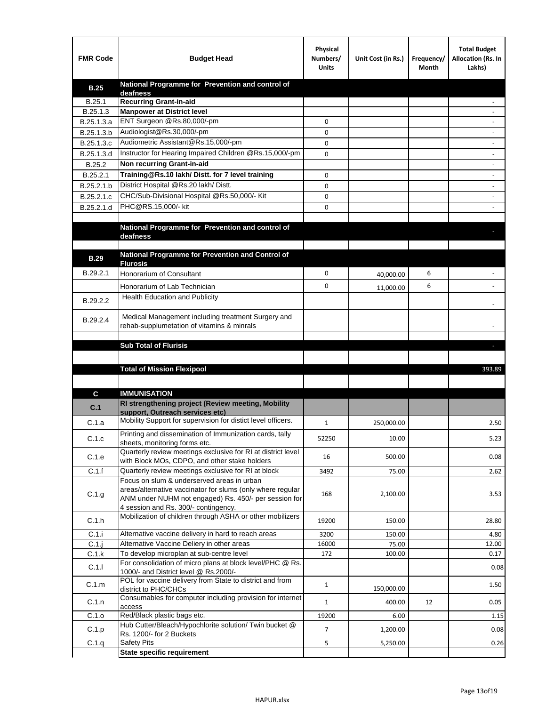| <b>FMR Code</b> | <b>Budget Head</b>                                                                                   | Physical<br>Numbers/<br><b>Units</b> | Unit Cost (in Rs.) | Frequency/<br>Month | <b>Total Budget</b><br>Allocation (Rs. In<br>Lakhs) |
|-----------------|------------------------------------------------------------------------------------------------------|--------------------------------------|--------------------|---------------------|-----------------------------------------------------|
| <b>B.25</b>     | National Programme for Prevention and control of                                                     |                                      |                    |                     |                                                     |
| B.25.1          | deafness<br><b>Recurring Grant-in-aid</b>                                                            |                                      |                    |                     |                                                     |
| B.25.1.3        | <b>Manpower at District level</b>                                                                    |                                      |                    |                     |                                                     |
| B.25.1.3.a      | ENT Surgeon @Rs.80,000/-pm                                                                           | 0                                    |                    |                     |                                                     |
| B.25.1.3.b      | Audiologist@Rs.30,000/-pm                                                                            | 0                                    |                    |                     |                                                     |
| B.25.1.3.c      | Audiometric Assistant@Rs.15,000/-pm                                                                  | 0                                    |                    |                     |                                                     |
| B.25.1.3.d      | Instructor for Hearing Impaired Children @Rs.15,000/-pm                                              | 0                                    |                    |                     |                                                     |
| B.25.2          | Non recurring Grant-in-aid                                                                           |                                      |                    |                     |                                                     |
| B.25.2.1        | Training@Rs.10 lakh/ Distt. for 7 level training                                                     | 0                                    |                    |                     |                                                     |
| B.25.2.1.b      | District Hospital @Rs.20 lakh/Distt.                                                                 | 0                                    |                    |                     |                                                     |
| B.25.2.1.c      | CHC/Sub-Divisional Hospital @Rs.50,000/- Kit                                                         | 0                                    |                    |                     |                                                     |
| B.25.2.1.d      | PHC@RS.15,000/- kit                                                                                  | 0                                    |                    |                     |                                                     |
|                 |                                                                                                      |                                      |                    |                     |                                                     |
|                 | National Programme for Prevention and control of                                                     |                                      |                    |                     |                                                     |
|                 | deafness                                                                                             |                                      |                    |                     |                                                     |
|                 | National Programme for Prevention and Control of                                                     |                                      |                    |                     |                                                     |
| <b>B.29</b>     | <b>Flurosis</b>                                                                                      |                                      |                    |                     |                                                     |
| B.29.2.1        | Honorarium of Consultant                                                                             | 0                                    | 40,000.00          | 6                   |                                                     |
|                 | Honorarium of Lab Technician                                                                         | 0                                    | 11,000.00          | 6                   |                                                     |
| B.29.2.2        | Health Education and Publicity                                                                       |                                      |                    |                     |                                                     |
|                 |                                                                                                      |                                      |                    |                     |                                                     |
| B.29.2.4        | Medical Management including treatment Surgery and                                                   |                                      |                    |                     |                                                     |
|                 | rehab-supplumetation of vitamins & minrals                                                           |                                      |                    |                     |                                                     |
|                 | <b>Sub Total of Flurisis</b>                                                                         |                                      |                    |                     | н                                                   |
|                 |                                                                                                      |                                      |                    |                     |                                                     |
|                 | <b>Total of Mission Flexipool</b>                                                                    |                                      |                    |                     | 393.89                                              |
|                 |                                                                                                      |                                      |                    |                     |                                                     |
| C               | <b>IMMUNISATION</b>                                                                                  |                                      |                    |                     |                                                     |
|                 | RI strengthening project (Review meeting, Mobility                                                   |                                      |                    |                     |                                                     |
| C.1             | support, Outreach services etc)                                                                      |                                      |                    |                     |                                                     |
| C.1.a           | Mobility Support for supervision for distict level officers.                                         | 1                                    | 250,000.00         |                     | 2.50                                                |
|                 | Printing and dissemination of Immunization cards, tally                                              |                                      |                    |                     |                                                     |
| C.1.c           | sheets, monitoring forms etc.                                                                        | 52250                                | 10.00              |                     | 5.23                                                |
| C.1.e           | Quarterly review meetings exclusive for RI at district level                                         | 16                                   | 500.00             |                     | 0.08                                                |
| C.1.f           | with Block MOs, CDPO, and other stake holders<br>Quarterly review meetings exclusive for RI at block |                                      | 75.00              |                     |                                                     |
|                 | Focus on slum & underserved areas in urban                                                           | 3492                                 |                    |                     | 2.62                                                |
|                 | areas/alternative vaccinator for slums (only where regular                                           |                                      |                    |                     |                                                     |
| C.1.g           | ANM under NUHM not engaged) Rs. 450/- per session for                                                | 168                                  | 2,100.00           |                     | 3.53                                                |
|                 | 4 session and Rs. 300/- contingency.                                                                 |                                      |                    |                     |                                                     |
| C.1.h           | Mobilization of children through ASHA or other mobilizers                                            | 19200                                | 150.00             |                     | 28.80                                               |
| C.1.i           | Alternative vaccine delivery in hard to reach areas                                                  | 3200                                 | 150.00             |                     | 4.80                                                |
| $C.1$ .j        | Alternative Vaccine Deliery in other areas                                                           | 16000                                | 75.00              |                     | 12.00                                               |
| C.1.k           | To develop microplan at sub-centre level                                                             | 172                                  | 100.00             |                     | 0.17                                                |
| C.1.1           | For consolidation of micro plans at block level/PHC @ Rs.                                            |                                      |                    |                     | 0.08                                                |
|                 | 1000/- and District level @ Rs.2000/-<br>POL for vaccine delivery from State to district and from    |                                      |                    |                     |                                                     |
| C.1.m           | district to PHC/CHCs                                                                                 | $\mathbf{1}$                         | 150,000.00         |                     | 1.50                                                |
| C.1.n           | Consumables for computer including provision for internet                                            | $\mathbf{1}$                         | 400.00             | 12                  | 0.05                                                |
|                 | access                                                                                               |                                      |                    |                     |                                                     |
| C.1.o           | Red/Black plastic bags etc.<br>Hub Cutter/Bleach/Hypochlorite solution/ Twin bucket @                | 19200                                | 6.00               |                     | 1.15                                                |
| C.1.p           | Rs. 1200/- for 2 Buckets                                                                             | 7                                    | 1,200.00           |                     | 0.08                                                |
| C.1.q           | <b>Safety Pits</b>                                                                                   | 5                                    | 5,250.00           |                     | 0.26                                                |
|                 | <b>State specific requirement</b>                                                                    |                                      |                    |                     |                                                     |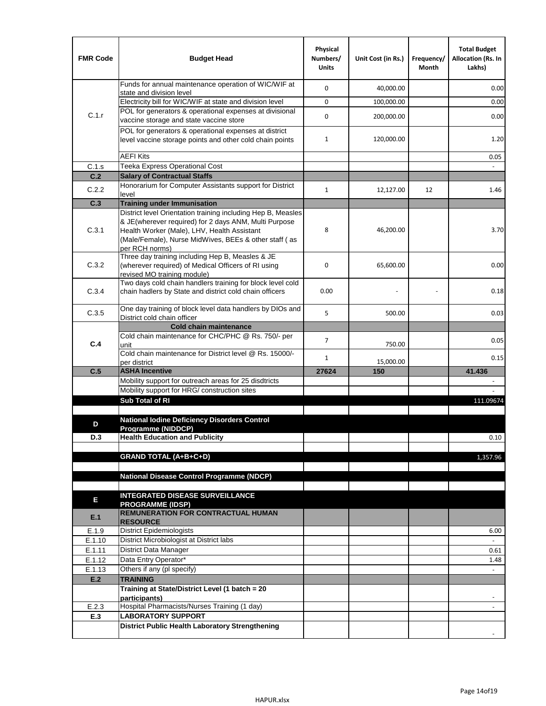| <b>FMR Code</b> | <b>Budget Head</b>                                                                                                                                                              | Physical<br>Numbers/<br><b>Units</b> | Unit Cost (in Rs.) | Frequency/<br>Month | <b>Total Budget</b><br><b>Allocation (Rs. In</b><br>Lakhs) |
|-----------------|---------------------------------------------------------------------------------------------------------------------------------------------------------------------------------|--------------------------------------|--------------------|---------------------|------------------------------------------------------------|
|                 | Funds for annual maintenance operation of WIC/WIF at<br>state and division level                                                                                                | $\mathbf 0$                          | 40,000.00          |                     | 0.00                                                       |
|                 | Electricity bill for WIC/WIF at state and division level                                                                                                                        | $\mathbf 0$                          | 100,000.00         |                     | 0.00                                                       |
| C.1.r           | POL for generators & operational expenses at divisional                                                                                                                         | $\mathbf 0$                          |                    |                     |                                                            |
|                 | vaccine storage and state vaccine store                                                                                                                                         |                                      | 200,000.00         |                     | 0.00                                                       |
|                 | POL for generators & operational expenses at district<br>level vaccine storage points and other cold chain points                                                               | $\mathbf{1}$                         | 120,000.00         |                     | 1.20                                                       |
|                 | <b>AEFI Kits</b>                                                                                                                                                                |                                      |                    |                     | 0.05                                                       |
| C.1.s           | Teeka Express Operational Cost                                                                                                                                                  |                                      |                    |                     |                                                            |
| C.2             | <b>Salary of Contractual Staffs</b>                                                                                                                                             |                                      |                    |                     |                                                            |
| C.2.2           | Honorarium for Computer Assistants support for District<br>level                                                                                                                | $\mathbf{1}$                         | 12,127.00          | 12                  | 1.46                                                       |
| C.3             | <b>Training under Immunisation</b>                                                                                                                                              |                                      |                    |                     |                                                            |
|                 | District level Orientation training including Hep B, Measles                                                                                                                    |                                      |                    |                     |                                                            |
| C.3.1           | & JE(wherever required) for 2 days ANM, Multi Purpose<br>Health Worker (Male), LHV, Health Assistant<br>(Male/Female), Nurse MidWives, BEEs & other staff (as<br>per RCH norms) | 8                                    | 46,200.00          |                     | 3.70                                                       |
| C.3.2           | Three day training including Hep B, Measles & JE<br>(wherever required) of Medical Officers of RI using<br>revised MO training module)                                          | $\mathbf 0$                          | 65,600.00          |                     | 0.00                                                       |
| C.3.4           | Two days cold chain handlers training for block level cold<br>chain hadlers by State and district cold chain officers                                                           | 0.00                                 |                    |                     | 0.18                                                       |
| C.3.5           | One day training of block level data handlers by DIOs and<br>District cold chain officer                                                                                        | 5                                    | 500.00             |                     | 0.03                                                       |
|                 | <b>Cold chain maintenance</b>                                                                                                                                                   |                                      |                    |                     |                                                            |
|                 | Cold chain maintenance for CHC/PHC @ Rs. 750/- per                                                                                                                              | $\overline{7}$                       |                    |                     | 0.05                                                       |
| C.4             | unit                                                                                                                                                                            |                                      | 750.00             |                     |                                                            |
|                 | Cold chain maintenance for District level @ Rs. 15000/-<br>per district                                                                                                         | $\mathbf{1}$                         | 15,000.00          |                     | 0.15                                                       |
| C.5             | <b>ASHA Incentive</b>                                                                                                                                                           | 27624                                | 150                |                     | 41.436                                                     |
|                 | Mobility support for outreach areas for 25 disdtricts                                                                                                                           |                                      |                    |                     |                                                            |
|                 | Mobility support for HRG/ construction sites                                                                                                                                    |                                      |                    |                     |                                                            |
|                 | Sub Total of RI                                                                                                                                                                 |                                      |                    |                     | 111.09674                                                  |
|                 |                                                                                                                                                                                 |                                      |                    |                     |                                                            |
| D               | <b>National Iodine Deficiency Disorders Control</b><br>Programme (NIDDCP)                                                                                                       |                                      |                    |                     |                                                            |
| D.3             | <b>Health Education and Publicity</b>                                                                                                                                           |                                      |                    |                     | 0.10                                                       |
|                 |                                                                                                                                                                                 |                                      |                    |                     |                                                            |
|                 | <b>GRAND TOTAL (A+B+C+D)</b>                                                                                                                                                    |                                      |                    |                     | 1,357.96                                                   |
|                 |                                                                                                                                                                                 |                                      |                    |                     |                                                            |
|                 | National Disease Control Programme (NDCP)                                                                                                                                       |                                      |                    |                     |                                                            |
|                 | <b>INTEGRATED DISEASE SURVEILLANCE</b>                                                                                                                                          |                                      |                    |                     |                                                            |
| Е               | <b>PROGRAMME (IDSP)</b>                                                                                                                                                         |                                      |                    |                     |                                                            |
| E.1             | <b>REMUNERATION FOR CONTRACTUAL HUMAN</b><br><b>RESOURCE</b>                                                                                                                    |                                      |                    |                     |                                                            |
| E.1.9           | District Epidemiologists                                                                                                                                                        |                                      |                    |                     | 6.00                                                       |
| E.1.10          | District Microbiologist at District labs                                                                                                                                        |                                      |                    |                     |                                                            |
| E.1.11          | District Data Manager                                                                                                                                                           |                                      |                    |                     | 0.61                                                       |
| E.1.12          | Data Entry Operator*<br>Others if any (pl specify)                                                                                                                              |                                      |                    |                     | 1.48                                                       |
| E.1.13<br>E.2   | <b>TRAINING</b>                                                                                                                                                                 |                                      |                    |                     | $\Box$                                                     |
|                 | Training at State/District Level (1 batch = 20                                                                                                                                  |                                      |                    |                     |                                                            |
|                 | participants)                                                                                                                                                                   |                                      |                    |                     |                                                            |
| E.2.3           | Hospital Pharmacists/Nurses Training (1 day)                                                                                                                                    |                                      |                    |                     |                                                            |
| E.3             | <b>LABORATORY SUPPORT</b>                                                                                                                                                       |                                      |                    |                     |                                                            |
|                 | <b>District Public Health Laboratory Strengthening</b>                                                                                                                          |                                      |                    |                     |                                                            |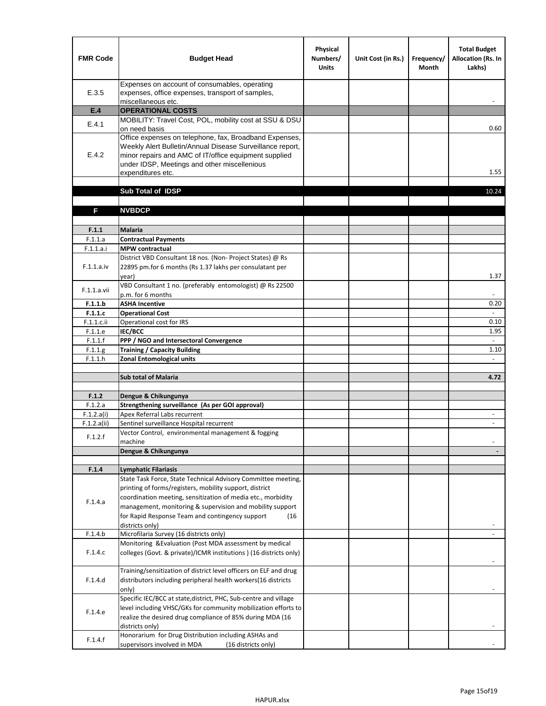| <b>FMR Code</b>       | <b>Budget Head</b>                                                                                                                                                                                                                                | Physical<br>Numbers/<br><b>Units</b> | Unit Cost (in Rs.) | Frequency/<br><b>Month</b> | <b>Total Budget</b><br><b>Allocation (Rs. In</b><br>Lakhs) |
|-----------------------|---------------------------------------------------------------------------------------------------------------------------------------------------------------------------------------------------------------------------------------------------|--------------------------------------|--------------------|----------------------------|------------------------------------------------------------|
| E.3.5                 | Expenses on account of consumables, operating<br>expenses, office expenses, transport of samples,<br>miscellaneous etc.                                                                                                                           |                                      |                    |                            |                                                            |
| E.4                   | <b>OPERATIONAL COSTS</b>                                                                                                                                                                                                                          |                                      |                    |                            |                                                            |
| E.4.1                 | MOBILITY: Travel Cost, POL, mobility cost at SSU & DSU                                                                                                                                                                                            |                                      |                    |                            |                                                            |
|                       | on need basis                                                                                                                                                                                                                                     |                                      |                    |                            | 0.60                                                       |
| E.4.2                 | Office expenses on telephone, fax, Broadband Expenses,<br>Weekly Alert Bulletin/Annual Disease Surveillance report,<br>minor repairs and AMC of IT/office equipment supplied<br>under IDSP, Meetings and other miscellenious<br>expenditures etc. |                                      |                    |                            | 1.55                                                       |
|                       | Sub Total of IDSP                                                                                                                                                                                                                                 |                                      |                    |                            | 10.24                                                      |
|                       |                                                                                                                                                                                                                                                   |                                      |                    |                            |                                                            |
| F                     | <b>NVBDCP</b>                                                                                                                                                                                                                                     |                                      |                    |                            |                                                            |
|                       |                                                                                                                                                                                                                                                   |                                      |                    |                            |                                                            |
| F.1.1                 | <b>Malaria</b>                                                                                                                                                                                                                                    |                                      |                    |                            |                                                            |
| F.1.1.a               | <b>Contractual Payments</b>                                                                                                                                                                                                                       |                                      |                    |                            |                                                            |
| F.1.1.a.i             | <b>MPW</b> contractual<br>District VBD Consultant 18 nos. (Non-Project States) @ Rs                                                                                                                                                               |                                      |                    |                            |                                                            |
| F.1.1.a.iv            | 22895 pm.for 6 months (Rs 1.37 lakhs per consulatant per<br>year)                                                                                                                                                                                 |                                      |                    |                            | 1.37                                                       |
|                       | VBD Consultant 1 no. (preferably entomologist) @ Rs 22500                                                                                                                                                                                         |                                      |                    |                            |                                                            |
| F.1.1.a.vii           | p.m. for 6 months                                                                                                                                                                                                                                 |                                      |                    |                            |                                                            |
| F.1.1.b               | <b>ASHA Incentive</b>                                                                                                                                                                                                                             |                                      |                    |                            | 0.20                                                       |
| F.1.1.c               | <b>Operational Cost</b>                                                                                                                                                                                                                           |                                      |                    |                            |                                                            |
| $F.1.1.c.$ ii         | Operational cost for IRS                                                                                                                                                                                                                          |                                      |                    |                            | 0.10                                                       |
| F.1.1.e<br>F.1.1.f    | <b>IEC/BCC</b><br>PPP / NGO and Intersectoral Convergence                                                                                                                                                                                         |                                      |                    |                            | 1.95<br>$\mathbb{L}$                                       |
| F.1.1.g               | <b>Training / Capacity Building</b>                                                                                                                                                                                                               |                                      |                    |                            | 1.10                                                       |
| F.1.1.h               | <b>Zonal Entomological units</b>                                                                                                                                                                                                                  |                                      |                    |                            |                                                            |
|                       |                                                                                                                                                                                                                                                   |                                      |                    |                            |                                                            |
|                       | <b>Sub total of Malaria</b>                                                                                                                                                                                                                       |                                      |                    |                            | 4.72                                                       |
|                       |                                                                                                                                                                                                                                                   |                                      |                    |                            |                                                            |
| F.1.2                 | Dengue & Chikungunya                                                                                                                                                                                                                              |                                      |                    |                            |                                                            |
| F.1.2.a<br>F.1.2.a(i) | Strengthening surveillance (As per GOI approval)<br>Apex Referral Labs recurrent                                                                                                                                                                  |                                      |                    |                            |                                                            |
| F.1.2.a(ii)           | Sentinel surveillance Hospital recurrent                                                                                                                                                                                                          |                                      |                    |                            | $\sim$                                                     |
|                       | Vector Control, environmental management & fogging                                                                                                                                                                                                |                                      |                    |                            |                                                            |
| F.1.2.f               | machine                                                                                                                                                                                                                                           |                                      |                    |                            |                                                            |
|                       | Dengue & Chikungunya                                                                                                                                                                                                                              |                                      |                    |                            |                                                            |
|                       |                                                                                                                                                                                                                                                   |                                      |                    |                            |                                                            |
| F.1.4                 | <b>Lymphatic Filariasis</b>                                                                                                                                                                                                                       |                                      |                    |                            |                                                            |
|                       | State Task Force, State Technical Advisory Committee meeting,<br>printing of forms/registers, mobility support, district                                                                                                                          |                                      |                    |                            |                                                            |
|                       | coordination meeting, sensitization of media etc., morbidity                                                                                                                                                                                      |                                      |                    |                            |                                                            |
| F.1.4.a               | management, monitoring & supervision and mobility support                                                                                                                                                                                         |                                      |                    |                            |                                                            |
|                       | for Rapid Response Team and contingency support<br>(16)                                                                                                                                                                                           |                                      |                    |                            |                                                            |
|                       | districts only)                                                                                                                                                                                                                                   |                                      |                    |                            |                                                            |
| F.1.4.b               | Microfilaria Survey (16 districts only)                                                                                                                                                                                                           |                                      |                    |                            |                                                            |
| F.1.4.c               | Monitoring & Evaluation (Post MDA assessment by medical<br>colleges (Govt. & private)/ICMR institutions ) (16 districts only)                                                                                                                     |                                      |                    |                            |                                                            |
| F.1.4.d               | Training/sensitization of district level officers on ELF and drug                                                                                                                                                                                 |                                      |                    |                            |                                                            |
|                       | distributors including peripheral health workers(16 districts                                                                                                                                                                                     |                                      |                    |                            |                                                            |
|                       | only)                                                                                                                                                                                                                                             |                                      |                    |                            |                                                            |
|                       | Specific IEC/BCC at state, district, PHC, Sub-centre and village                                                                                                                                                                                  |                                      |                    |                            |                                                            |
| F.1.4.e               | level including VHSC/GKs for community mobilization efforts to                                                                                                                                                                                    |                                      |                    |                            |                                                            |
|                       | realize the desired drug compliance of 85% during MDA (16                                                                                                                                                                                         |                                      |                    |                            |                                                            |
|                       | districts only)<br>Honorarium for Drug Distribution including ASHAs and                                                                                                                                                                           |                                      |                    |                            |                                                            |
| F.1.4.f               | supervisors involved in MDA<br>(16 districts only)                                                                                                                                                                                                |                                      |                    |                            |                                                            |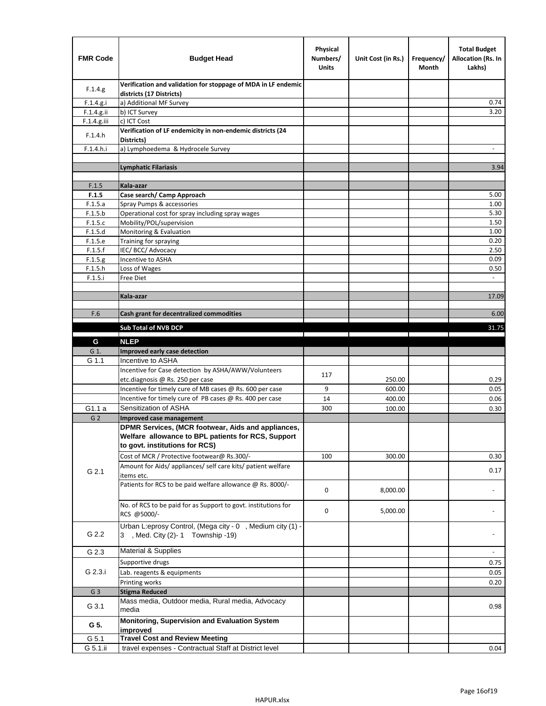| <b>FMR Code</b>    | <b>Budget Head</b>                                                                             | Physical<br>Numbers/<br><b>Units</b> | Unit Cost (in Rs.) | Frequency/<br>Month | <b>Total Budget</b><br><b>Allocation (Rs. In</b><br>Lakhs) |
|--------------------|------------------------------------------------------------------------------------------------|--------------------------------------|--------------------|---------------------|------------------------------------------------------------|
| F.1.4.g.           | Verification and validation for stoppage of MDA in LF endemic<br>districts (17 Districts)      |                                      |                    |                     |                                                            |
| F.1.4.g.i          | a) Additional MF Survey                                                                        |                                      |                    |                     | 0.74                                                       |
| F.1.4.g.ii         | b) ICT Survey                                                                                  |                                      |                    |                     | 3.20                                                       |
| $F.1.4.g.$ iii     | c) ICT Cost                                                                                    |                                      |                    |                     |                                                            |
| F.1.4.h            | Verification of LF endemicity in non-endemic districts (24<br>Districts)                       |                                      |                    |                     |                                                            |
| F.1.4.h.i          | a) Lymphoedema & Hydrocele Survey                                                              |                                      |                    |                     |                                                            |
|                    | <b>Lymphatic Filariasis</b>                                                                    |                                      |                    |                     | 3.94                                                       |
|                    |                                                                                                |                                      |                    |                     |                                                            |
| F.1.5              | Kala-azar                                                                                      |                                      |                    |                     |                                                            |
| F.1.5              | Case search/ Camp Approach                                                                     |                                      |                    |                     | 5.00                                                       |
| F.1.5.a            | Spray Pumps & accessories                                                                      |                                      |                    |                     | 1.00                                                       |
| F.1.5.b            | Operational cost for spray including spray wages                                               |                                      |                    |                     | 5.30                                                       |
| F.1.5.c            | Mobility/POL/supervision                                                                       |                                      |                    |                     | 1.50                                                       |
| F.1.5.d            | Monitoring & Evaluation                                                                        |                                      |                    |                     | 1.00                                                       |
| F.1.5.e<br>F.1.5.f | Training for spraying<br>IEC/BCC/Advocacy                                                      |                                      |                    |                     | 0.20<br>2.50                                               |
| F.1.5.g            | Incentive to ASHA                                                                              |                                      |                    |                     | 0.09                                                       |
| F.1.5.h            | Loss of Wages                                                                                  |                                      |                    |                     | 0.50                                                       |
| F.1.5.i            | Free Diet                                                                                      |                                      |                    |                     |                                                            |
|                    |                                                                                                |                                      |                    |                     |                                                            |
|                    | Kala-azar                                                                                      |                                      |                    |                     | 17.09                                                      |
|                    |                                                                                                |                                      |                    |                     |                                                            |
| F.6                | Cash grant for decentralized commodities                                                       |                                      |                    |                     | 6.00                                                       |
|                    | <b>Sub Total of NVB DCP</b>                                                                    |                                      |                    |                     | 31.75                                                      |
|                    |                                                                                                |                                      |                    |                     |                                                            |
| G                  | <b>NLEP</b>                                                                                    |                                      |                    |                     |                                                            |
| G 1.               | Improved early case detection                                                                  |                                      |                    |                     |                                                            |
| G 1.1              | Incentive to ASHA                                                                              |                                      |                    |                     |                                                            |
|                    | Incentive for Case detection by ASHA/AWW/Volunteers                                            | 117                                  | 250.00             |                     | 0.29                                                       |
|                    | etc.diagnosis @ Rs. 250 per case<br>Incentive for timely cure of MB cases @ Rs. 600 per case   | 9                                    | 600.00             |                     | 0.05                                                       |
|                    | Incentive for timely cure of PB cases @ Rs. 400 per case                                       | 14                                   | 400.00             |                     | 0.06                                                       |
| G1.1 a             | Sensitization of ASHA                                                                          | 300                                  | 100.00             |                     | 0.30                                                       |
| G <sub>2</sub>     | Improved case management                                                                       |                                      |                    |                     |                                                            |
|                    | DPMR Services, (MCR footwear, Aids and appliances,                                             |                                      |                    |                     |                                                            |
|                    | Welfare allowance to BPL patients for RCS, Support<br>to govt. institutions for RCS)           |                                      |                    |                     |                                                            |
|                    | Cost of MCR / Protective footwear@ Rs.300/-                                                    | 100                                  | 300.00             |                     | 0.30                                                       |
|                    | Amount for Aids/ appliances/ self care kits/ patient welfare                                   |                                      |                    |                     |                                                            |
| G 2.1              | items etc.                                                                                     |                                      |                    |                     | 0.17                                                       |
|                    | Patients for RCS to be paid welfare allowance @ Rs. 8000/-                                     | 0                                    | 8,000.00           |                     |                                                            |
|                    | No. of RCS to be paid for as Support to govt. institutions for<br>RCS @5000/-                  | 0                                    | 5,000.00           |                     |                                                            |
| G 2.2              | Urban L:eprosy Control, (Mega city - 0, Medium city (1) -<br>3 , Med. City (2)-1 Township -19) |                                      |                    |                     |                                                            |
| G 2.3              | <b>Material &amp; Supplies</b>                                                                 |                                      |                    |                     | $\overline{\phantom{a}}$                                   |
|                    | Supportive drugs                                                                               |                                      |                    |                     | 0.75                                                       |
| G 2.3.i            | Lab. reagents & equipments                                                                     |                                      |                    |                     | 0.05                                                       |
|                    | Printing works                                                                                 |                                      |                    |                     | 0.20                                                       |
| G <sub>3</sub>     | <b>Stigma Reduced</b>                                                                          |                                      |                    |                     |                                                            |
|                    | Mass media, Outdoor media, Rural media, Advocacy                                               |                                      |                    |                     |                                                            |
| G 3.1              | media                                                                                          |                                      |                    |                     | 0.98                                                       |
| G 5.               | Monitoring, Supervision and Evaluation System<br>improved                                      |                                      |                    |                     |                                                            |
| G 5.1              | <b>Travel Cost and Review Meeting</b>                                                          |                                      |                    |                     |                                                            |
| G 5.1.ii           | travel expenses - Contractual Staff at District level                                          |                                      |                    |                     | 0.04                                                       |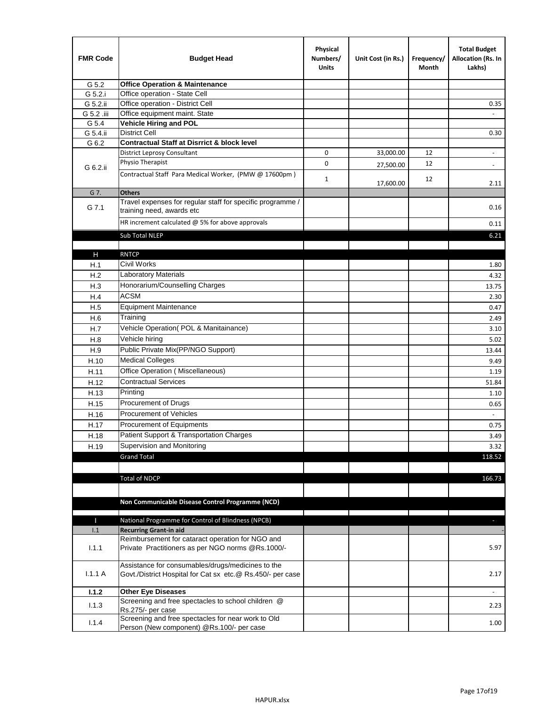| <b>FMR Code</b> | <b>Budget Head</b>                                                                                              | Physical<br>Numbers/<br><b>Units</b> | Unit Cost (in Rs.) | Frequency/<br>Month | <b>Total Budget</b><br>Allocation (Rs. In<br>Lakhs) |
|-----------------|-----------------------------------------------------------------------------------------------------------------|--------------------------------------|--------------------|---------------------|-----------------------------------------------------|
| G 5.2           | <b>Office Operation &amp; Maintenance</b>                                                                       |                                      |                    |                     |                                                     |
| G 5.2.i         | Office operation - State Cell                                                                                   |                                      |                    |                     |                                                     |
| G 5.2.ii        | Office operation - District Cell                                                                                |                                      |                    |                     | 0.35                                                |
| G 5.2 .iii      | Office equipment maint. State                                                                                   |                                      |                    |                     |                                                     |
| G 5.4           | <b>Vehicle Hiring and POL</b>                                                                                   |                                      |                    |                     |                                                     |
| G 5.4.ii        | <b>District Cell</b>                                                                                            |                                      |                    |                     | 0.30                                                |
| G 6.2           | <b>Contractual Staff at Disrrict &amp; block level</b>                                                          |                                      |                    |                     |                                                     |
|                 | <b>District Leprosy Consultant</b>                                                                              | 0                                    | 33,000.00          | 12                  |                                                     |
| G 6.2.ii        | Physio Therapist                                                                                                | 0                                    | 27,500.00          | 12                  | $\overline{\phantom{a}}$                            |
|                 | Contractual Staff Para Medical Worker, (PMW @ 17600pm)                                                          | $\mathbf{1}$                         | 17,600.00          | 12                  | 2.11                                                |
| G 7.            | <b>Others</b>                                                                                                   |                                      |                    |                     |                                                     |
| G 7.1           | Travel expenses for regular staff for specific programme /<br>training need, awards etc                         |                                      |                    |                     | 0.16                                                |
|                 | HR increment calculated $\omega$ 5% for above approvals                                                         |                                      |                    |                     | 0.11                                                |
|                 | Sub Total NLEP                                                                                                  |                                      |                    |                     | 6.21                                                |
|                 |                                                                                                                 |                                      |                    |                     |                                                     |
| Н               | <b>RNTCP</b>                                                                                                    |                                      |                    |                     |                                                     |
| H.1             | Civil Works                                                                                                     |                                      |                    |                     | 1.80                                                |
| H.2             | Laboratory Materials                                                                                            |                                      |                    |                     | 4.32                                                |
| H.3             | Honorarium/Counselling Charges                                                                                  |                                      |                    |                     | 13.75                                               |
| H.4             | <b>ACSM</b>                                                                                                     |                                      |                    |                     | 2.30                                                |
| H.5             | <b>Equipment Maintenance</b>                                                                                    |                                      |                    |                     | 0.47                                                |
| H.6             | Training                                                                                                        |                                      |                    |                     | 2.49                                                |
| H.7             | Vehicle Operation(POL & Manitainance)                                                                           |                                      |                    |                     | 3.10                                                |
| H.8             | Vehicle hiring                                                                                                  |                                      |                    |                     | 5.02                                                |
| H.9             | Public Private Mix(PP/NGO Support)                                                                              |                                      |                    |                     | 13.44                                               |
| H.10            | <b>Medical Colleges</b>                                                                                         |                                      |                    |                     | 9.49                                                |
| H.11            | Office Operation (Miscellaneous)                                                                                |                                      |                    |                     | 1.19                                                |
| H.12            | <b>Contractual Services</b>                                                                                     |                                      |                    |                     | 51.84                                               |
| H.13            | Printing                                                                                                        |                                      |                    |                     | 1.10                                                |
| H.15            | Procurement of Drugs                                                                                            |                                      |                    |                     | 0.65                                                |
| H.16            | Procurement of Vehicles                                                                                         |                                      |                    |                     | $\sim$                                              |
| H.17            | Procurement of Equipments                                                                                       |                                      |                    |                     | 0.75                                                |
| H.18            | Patient Support & Transportation Charges                                                                        |                                      |                    |                     | 3.49                                                |
| H.19            | Supervision and Monitoring                                                                                      |                                      |                    |                     | 3.32                                                |
|                 | <b>Grand Total</b>                                                                                              |                                      |                    |                     | 118.52                                              |
|                 |                                                                                                                 |                                      |                    |                     |                                                     |
|                 | <b>Total of NDCP</b>                                                                                            |                                      |                    |                     | 166.73                                              |
|                 |                                                                                                                 |                                      |                    |                     |                                                     |
|                 | Non Communicable Disease Control Programme (NCD)                                                                |                                      |                    |                     |                                                     |
|                 |                                                                                                                 |                                      |                    |                     |                                                     |
| Т               | National Programme for Control of Blindness (NPCB)                                                              |                                      |                    |                     | $\sim$                                              |
| 1.1             | <b>Recurring Grant-in aid</b><br>Reimbursement for cataract operation for NGO and                               |                                      |                    |                     |                                                     |
| 1.1.1           | Private Practitioners as per NGO norms @Rs.1000/-                                                               |                                      |                    |                     | 5.97                                                |
| 1.1.1A          | Assistance for consumables/drugs/medicines to the<br>Govt./District Hospital for Cat sx etc.@ Rs.450/- per case |                                      |                    |                     | 2.17                                                |
| 1.1.2           | <b>Other Eye Diseases</b>                                                                                       |                                      |                    |                     |                                                     |
| 1.1.3           | Screening and free spectacles to school children @                                                              |                                      |                    |                     | 2.23                                                |
|                 | Rs.275/- per case                                                                                               |                                      |                    |                     |                                                     |
| 1.1.4           | Screening and free spectacles for near work to Old<br>Person (New component) @Rs.100/- per case                 |                                      |                    |                     | 1.00                                                |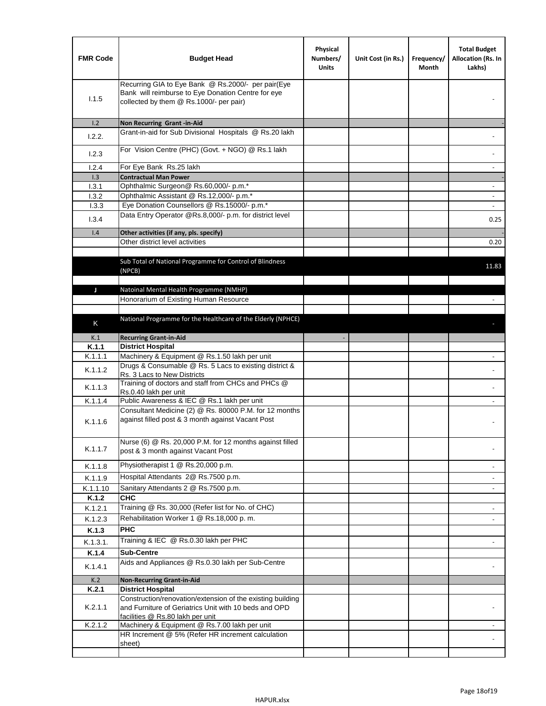| <b>FMR Code</b> | <b>Budget Head</b>                                                                                                                                      | Physical<br>Numbers/<br><b>Units</b> | Unit Cost (in Rs.) | Frequency/<br>Month | <b>Total Budget</b><br>Allocation (Rs. In<br>Lakhs) |
|-----------------|---------------------------------------------------------------------------------------------------------------------------------------------------------|--------------------------------------|--------------------|---------------------|-----------------------------------------------------|
| 1.1.5           | Recurring GIA to Eye Bank @ Rs.2000/- per pair(Eye<br>Bank will reimburse to Eye Donation Centre for eye<br>collected by them @ Rs.1000/- per pair)     |                                      |                    |                     |                                                     |
| 1.2             | Non Recurring Grant -in-Aid                                                                                                                             |                                      |                    |                     |                                                     |
| 1.2.2.          | Grant-in-aid for Sub Divisional Hospitals @ Rs.20 lakh                                                                                                  |                                      |                    |                     |                                                     |
| 1.2.3           | For Vision Centre (PHC) (Govt. + NGO) @ Rs.1 lakh                                                                                                       |                                      |                    |                     |                                                     |
| 1.2.4           | For Eye Bank Rs.25 lakh                                                                                                                                 |                                      |                    |                     | $\blacksquare$                                      |
| 1.3             | <b>Contractual Man Power</b>                                                                                                                            |                                      |                    |                     |                                                     |
| 1.3.1           | Ophthalmic Surgeon@ Rs.60,000/- p.m.*                                                                                                                   |                                      |                    |                     | $\blacksquare$                                      |
| 1.3.2           | Ophthalmic Assistant @ Rs.12,000/- p.m.*                                                                                                                |                                      |                    |                     |                                                     |
| 1.3.3           | Eye Donation Counsellors @ Rs.15000/- p.m.*<br>Data Entry Operator @Rs.8,000/- p.m. for district level                                                  |                                      |                    |                     | $\omega$                                            |
| 1.3.4           |                                                                                                                                                         |                                      |                    |                     | 0.25                                                |
| 1.4             | Other activities (if any, pls. specify)<br>Other district level activities                                                                              |                                      |                    |                     |                                                     |
|                 |                                                                                                                                                         |                                      |                    |                     | 0.20                                                |
|                 | Sub Total of National Programme for Control of Blindness<br>(NPCB)                                                                                      |                                      |                    |                     | 11.83                                               |
| J               | Natoinal Mental Health Programme (NMHP)                                                                                                                 |                                      |                    |                     |                                                     |
|                 | Honorarium of Existing Human Resource                                                                                                                   |                                      |                    |                     |                                                     |
|                 |                                                                                                                                                         |                                      |                    |                     |                                                     |
|                 | National Programme for the Healthcare of the Elderly (NPHCE)                                                                                            |                                      |                    |                     |                                                     |
| Κ               |                                                                                                                                                         |                                      |                    |                     |                                                     |
| K.1             | <b>Recurring Grant-in-Aid</b>                                                                                                                           |                                      |                    |                     |                                                     |
| K.1.1           | <b>District Hospital</b>                                                                                                                                |                                      |                    |                     |                                                     |
| K.1.1.1         | Machinery & Equipment @ Rs.1.50 lakh per unit                                                                                                           |                                      |                    |                     |                                                     |
| K.1.1.2         | Drugs & Consumable @ Rs. 5 Lacs to existing district &<br>Rs. 3 Lacs to New Districts                                                                   |                                      |                    |                     |                                                     |
| K.1.1.3         | Training of doctors and staff from CHCs and PHCs @<br>Rs.0.40 lakh per unit                                                                             |                                      |                    |                     |                                                     |
| K.1.1.4         | Public Awareness & IEC @ Rs.1 lakh per unit                                                                                                             |                                      |                    |                     |                                                     |
| K.1.1.6         | Consultant Medicine (2) @ Rs. 80000 P.M. for 12 months<br>against filled post & 3 month against Vacant Post                                             |                                      |                    |                     |                                                     |
| K.1.1.7         | Nurse (6) @ Rs. 20,000 P.M. for 12 months against filled<br>post & 3 month against Vacant Post                                                          |                                      |                    |                     |                                                     |
| K.1.1.8         | Physiotherapist 1 @ Rs.20,000 p.m.                                                                                                                      |                                      |                    |                     |                                                     |
| K.1.1.9         | Hospital Attendants 2@ Rs.7500 p.m.                                                                                                                     |                                      |                    |                     |                                                     |
| K.1.1.10        | Sanitary Attendants 2 @ Rs.7500 p.m.                                                                                                                    |                                      |                    |                     | $\overline{\phantom{a}}$                            |
| K.1.2           | <b>CHC</b>                                                                                                                                              |                                      |                    |                     |                                                     |
| K.1.2.1         | Training @ Rs. 30,000 (Refer list for No. of CHC)                                                                                                       |                                      |                    |                     |                                                     |
| K.1.2.3         | Rehabilitation Worker 1 @ Rs.18,000 p.m.                                                                                                                |                                      |                    |                     | $\overline{\phantom{a}}$                            |
| K.1.3           | <b>PHC</b>                                                                                                                                              |                                      |                    |                     |                                                     |
|                 |                                                                                                                                                         |                                      |                    |                     |                                                     |
| K.1.3.1.        | Training & IEC @ Rs.0.30 lakh per PHC                                                                                                                   |                                      |                    |                     |                                                     |
| K.1.4           | <b>Sub-Centre</b>                                                                                                                                       |                                      |                    |                     |                                                     |
| K.1.4.1         | Aids and Appliances @ Rs.0.30 lakh per Sub-Centre                                                                                                       |                                      |                    |                     |                                                     |
| K.2             | <b>Non-Recurring Grant-in-Aid</b>                                                                                                                       |                                      |                    |                     |                                                     |
| K.2.1           | <b>District Hospital</b>                                                                                                                                |                                      |                    |                     |                                                     |
| K.2.1.1         | Construction/renovation/extension of the existing building<br>and Furniture of Geriatrics Unit with 10 beds and OPD<br>facilities @ Rs.80 lakh per unit |                                      |                    |                     |                                                     |
| K.2.1.2         | Machinery & Equipment @ Rs.7.00 lakh per unit                                                                                                           |                                      |                    |                     |                                                     |
|                 | HR Increment @ 5% (Refer HR increment calculation                                                                                                       |                                      |                    |                     |                                                     |
|                 | sheet)                                                                                                                                                  |                                      |                    |                     |                                                     |
|                 |                                                                                                                                                         |                                      |                    |                     |                                                     |